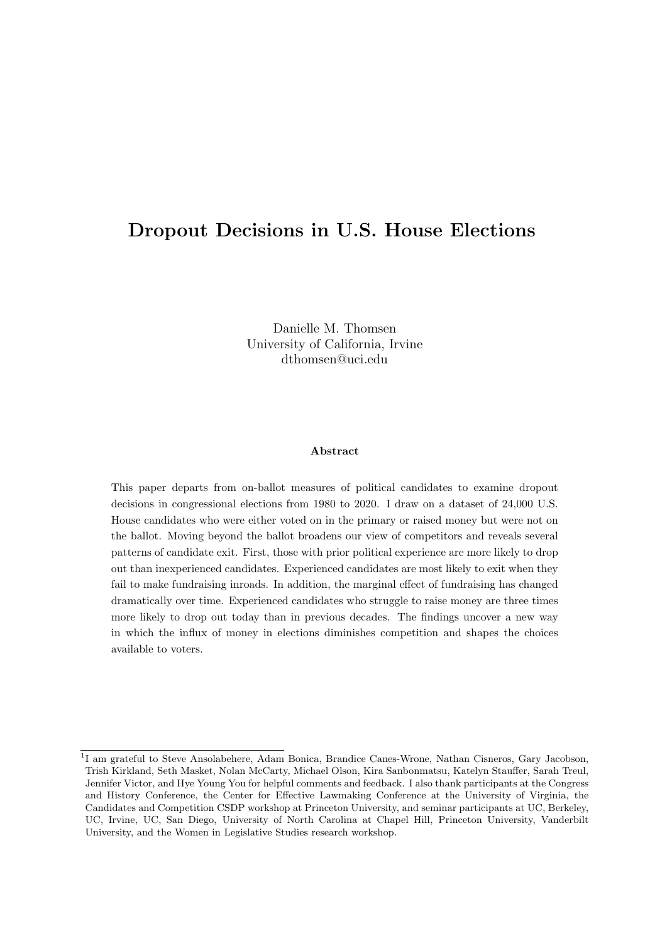# <span id="page-0-0"></span>Dropout Decisions in U.S. House Elections

Danielle M. Thomsen University of California, Irvine dthomsen@uci.edu

#### Abstract

This paper departs from on-ballot measures of political candidates to examine dropout decisions in congressional elections from 1980 to 2020. I draw on a dataset of 24,000 U.S. House candidates who were either voted on in the primary or raised money but were not on the ballot. Moving beyond the ballot broadens our view of competitors and reveals several patterns of candidate exit. First, those with prior political experience are more likely to drop out than inexperienced candidates. Experienced candidates are most likely to exit when they fail to make fundraising inroads. In addition, the marginal effect of fundraising has changed dramatically over time. Experienced candidates who struggle to raise money are three times more likely to drop out today than in previous decades. The findings uncover a new way in which the influx of money in elections diminishes competition and shapes the choices available to voters.

<sup>&</sup>lt;sup>1</sup>I am grateful to Steve Ansolabehere, Adam Bonica, Brandice Canes-Wrone, Nathan Cisneros, Gary Jacobson, Trish Kirkland, Seth Masket, Nolan McCarty, Michael Olson, Kira Sanbonmatsu, Katelyn Stauffer, Sarah Treul, Jennifer Victor, and Hye Young You for helpful comments and feedback. I also thank participants at the Congress and History Conference, the Center for Effective Lawmaking Conference at the University of Virginia, the Candidates and Competition CSDP workshop at Princeton University, and seminar participants at UC, Berkeley, UC, Irvine, UC, San Diego, University of North Carolina at Chapel Hill, Princeton University, Vanderbilt University, and the Women in Legislative Studies research workshop.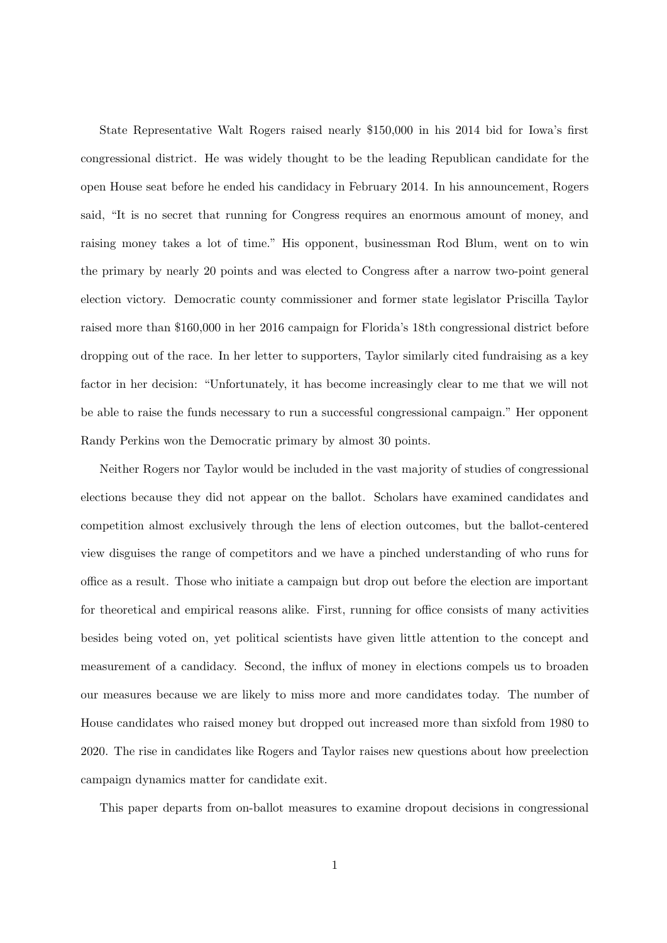State Representative Walt Rogers raised nearly \$150,000 in his 2014 bid for Iowa's first congressional district. He was widely thought to be the leading Republican candidate for the open House seat before he ended his candidacy in February 2014. In his announcement, Rogers said, "It is no secret that running for Congress requires an enormous amount of money, and raising money takes a lot of time." His opponent, businessman Rod Blum, went on to win the primary by nearly 20 points and was elected to Congress after a narrow two-point general election victory. Democratic county commissioner and former state legislator Priscilla Taylor raised more than \$160,000 in her 2016 campaign for Florida's 18th congressional district before dropping out of the race. In her letter to supporters, Taylor similarly cited fundraising as a key factor in her decision: "Unfortunately, it has become increasingly clear to me that we will not be able to raise the funds necessary to run a successful congressional campaign." Her opponent Randy Perkins won the Democratic primary by almost 30 points.

Neither Rogers nor Taylor would be included in the vast majority of studies of congressional elections because they did not appear on the ballot. Scholars have examined candidates and competition almost exclusively through the lens of election outcomes, but the ballot-centered view disguises the range of competitors and we have a pinched understanding of who runs for office as a result. Those who initiate a campaign but drop out before the election are important for theoretical and empirical reasons alike. First, running for office consists of many activities besides being voted on, yet political scientists have given little attention to the concept and measurement of a candidacy. Second, the influx of money in elections compels us to broaden our measures because we are likely to miss more and more candidates today. The number of House candidates who raised money but dropped out increased more than sixfold from 1980 to 2020. The rise in candidates like Rogers and Taylor raises new questions about how preelection campaign dynamics matter for candidate exit.

This paper departs from on-ballot measures to examine dropout decisions in congressional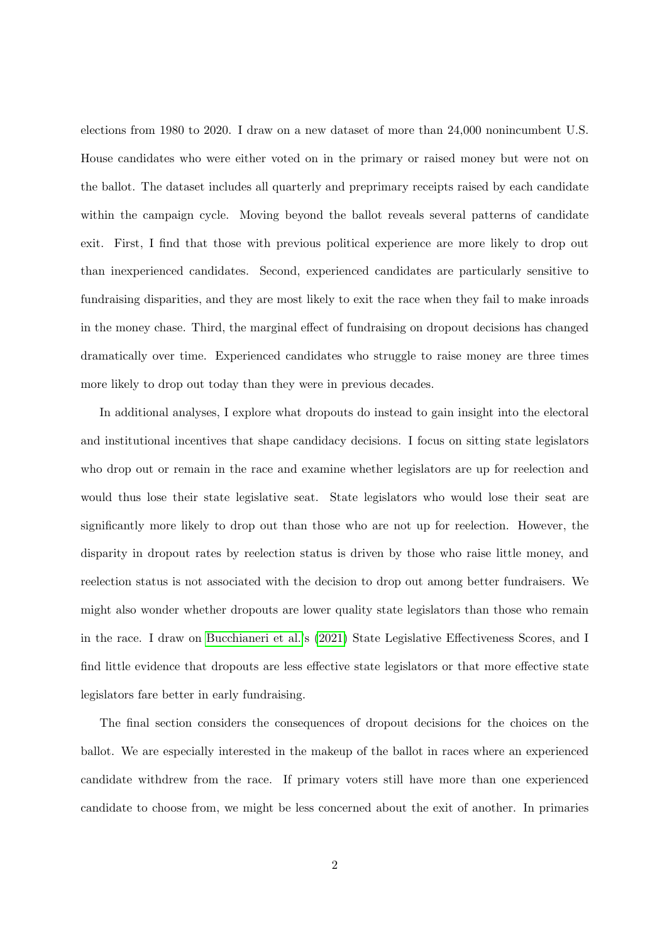elections from 1980 to 2020. I draw on a new dataset of more than 24,000 nonincumbent U.S. House candidates who were either voted on in the primary or raised money but were not on the ballot. The dataset includes all quarterly and preprimary receipts raised by each candidate within the campaign cycle. Moving beyond the ballot reveals several patterns of candidate exit. First, I find that those with previous political experience are more likely to drop out than inexperienced candidates. Second, experienced candidates are particularly sensitive to fundraising disparities, and they are most likely to exit the race when they fail to make inroads in the money chase. Third, the marginal effect of fundraising on dropout decisions has changed dramatically over time. Experienced candidates who struggle to raise money are three times more likely to drop out today than they were in previous decades.

In additional analyses, I explore what dropouts do instead to gain insight into the electoral and institutional incentives that shape candidacy decisions. I focus on sitting state legislators who drop out or remain in the race and examine whether legislators are up for reelection and would thus lose their state legislative seat. State legislators who would lose their seat are significantly more likely to drop out than those who are not up for reelection. However, the disparity in dropout rates by reelection status is driven by those who raise little money, and reelection status is not associated with the decision to drop out among better fundraisers. We might also wonder whether dropouts are lower quality state legislators than those who remain in the race. I draw on [Bucchianeri et al.'](#page-28-0)s [\(2021\)](#page-28-0) State Legislative Effectiveness Scores, and I find little evidence that dropouts are less effective state legislators or that more effective state legislators fare better in early fundraising.

The final section considers the consequences of dropout decisions for the choices on the ballot. We are especially interested in the makeup of the ballot in races where an experienced candidate withdrew from the race. If primary voters still have more than one experienced candidate to choose from, we might be less concerned about the exit of another. In primaries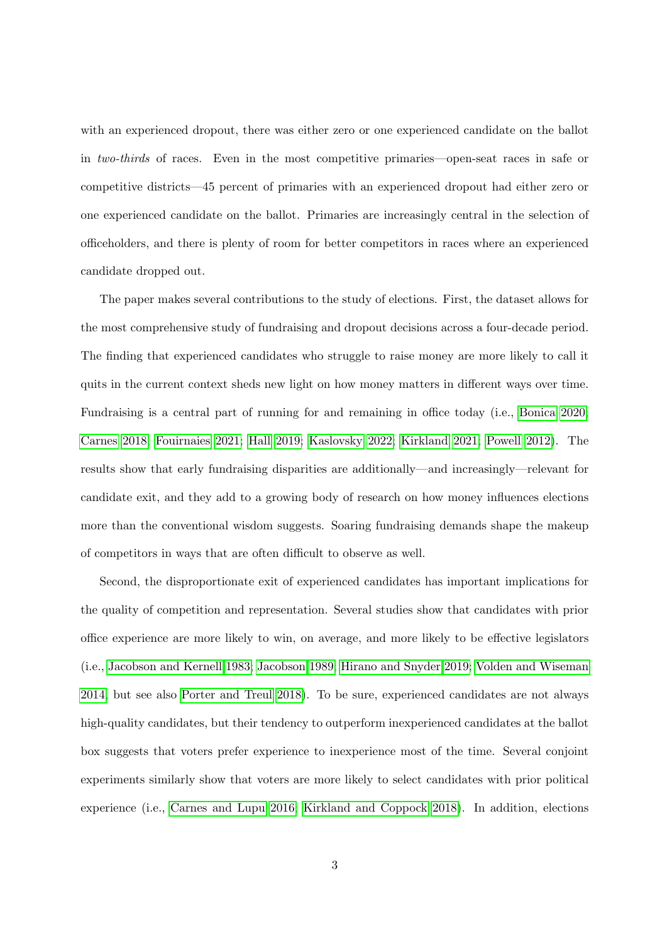with an experienced dropout, there was either zero or one experienced candidate on the ballot in two-thirds of races. Even in the most competitive primaries—open-seat races in safe or competitive districts—45 percent of primaries with an experienced dropout had either zero or one experienced candidate on the ballot. Primaries are increasingly central in the selection of officeholders, and there is plenty of room for better competitors in races where an experienced candidate dropped out.

The paper makes several contributions to the study of elections. First, the dataset allows for the most comprehensive study of fundraising and dropout decisions across a four-decade period. The finding that experienced candidates who struggle to raise money are more likely to call it quits in the current context sheds new light on how money matters in different ways over time. Fundraising is a central part of running for and remaining in office today (i.e., [Bonica 2020;](#page-28-1) [Carnes 2018;](#page-28-2) [Fouirnaies 2021;](#page-29-0) [Hall 2019;](#page-29-1) [Kaslovsky 2022;](#page-30-0) [Kirkland 2021;](#page-30-1) [Powell 2012\)](#page-30-2). The results show that early fundraising disparities are additionally—and increasingly—relevant for candidate exit, and they add to a growing body of research on how money influences elections more than the conventional wisdom suggests. Soaring fundraising demands shape the makeup of competitors in ways that are often difficult to observe as well.

Second, the disproportionate exit of experienced candidates has important implications for the quality of competition and representation. Several studies show that candidates with prior office experience are more likely to win, on average, and more likely to be effective legislators (i.e., [Jacobson and Kernell 1983;](#page-29-2) [Jacobson 1989;](#page-29-3) [Hirano and Snyder 2019;](#page-29-4) [Volden and Wiseman](#page-31-0) [2014,](#page-31-0) but see also [Porter and Treul 2018\)](#page-30-3). To be sure, experienced candidates are not always high-quality candidates, but their tendency to outperform inexperienced candidates at the ballot box suggests that voters prefer experience to inexperience most of the time. Several conjoint experiments similarly show that voters are more likely to select candidates with prior political experience (i.e., [Carnes and Lupu 2016;](#page-28-3) [Kirkland and Coppock 2018\)](#page-30-4). In addition, elections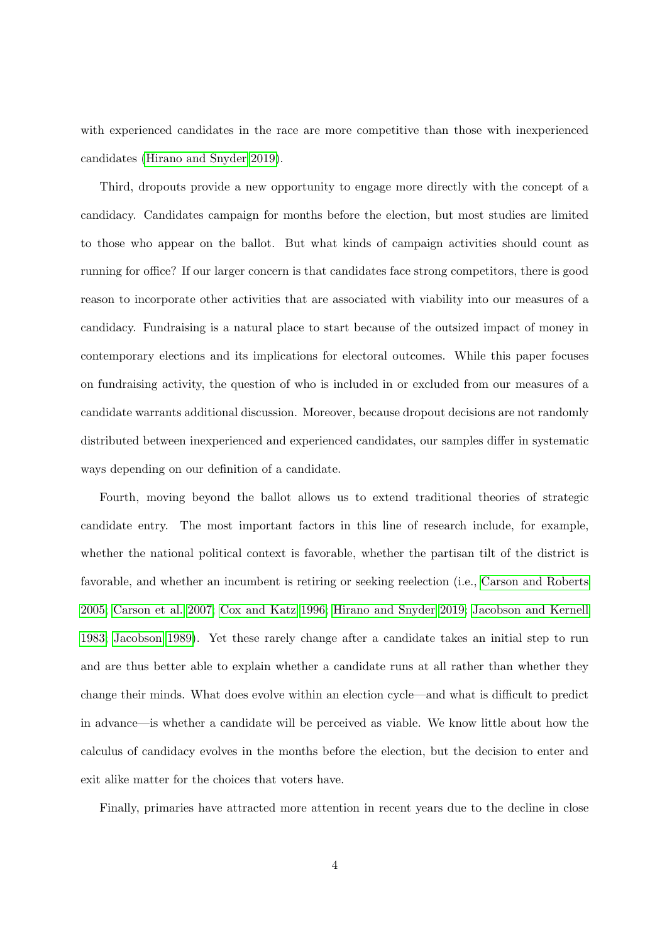with experienced candidates in the race are more competitive than those with inexperienced candidates [\(Hirano and Snyder 2019\)](#page-29-4).

Third, dropouts provide a new opportunity to engage more directly with the concept of a candidacy. Candidates campaign for months before the election, but most studies are limited to those who appear on the ballot. But what kinds of campaign activities should count as running for office? If our larger concern is that candidates face strong competitors, there is good reason to incorporate other activities that are associated with viability into our measures of a candidacy. Fundraising is a natural place to start because of the outsized impact of money in contemporary elections and its implications for electoral outcomes. While this paper focuses on fundraising activity, the question of who is included in or excluded from our measures of a candidate warrants additional discussion. Moreover, because dropout decisions are not randomly distributed between inexperienced and experienced candidates, our samples differ in systematic ways depending on our definition of a candidate.

Fourth, moving beyond the ballot allows us to extend traditional theories of strategic candidate entry. The most important factors in this line of research include, for example, whether the national political context is favorable, whether the partisan tilt of the district is favorable, and whether an incumbent is retiring or seeking reelection (i.e., [Carson and Roberts](#page-28-4) [2005;](#page-28-4) [Carson et al. 2007;](#page-28-5) [Cox and Katz 1996;](#page-28-6) [Hirano and Snyder 2019;](#page-29-4) [Jacobson and Kernell](#page-29-2) [1983;](#page-29-2) [Jacobson 1989\)](#page-29-3). Yet these rarely change after a candidate takes an initial step to run and are thus better able to explain whether a candidate runs at all rather than whether they change their minds. What does evolve within an election cycle—and what is difficult to predict in advance—is whether a candidate will be perceived as viable. We know little about how the calculus of candidacy evolves in the months before the election, but the decision to enter and exit alike matter for the choices that voters have.

Finally, primaries have attracted more attention in recent years due to the decline in close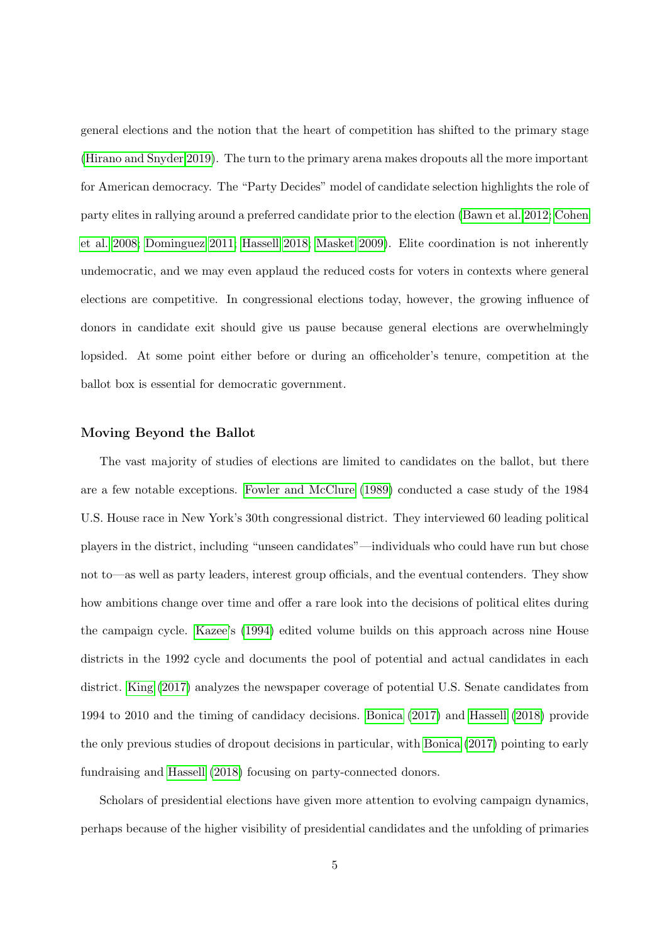general elections and the notion that the heart of competition has shifted to the primary stage [\(Hirano and Snyder 2019\)](#page-29-4). The turn to the primary arena makes dropouts all the more important for American democracy. The "Party Decides" model of candidate selection highlights the role of party elites in rallying around a preferred candidate prior to the election [\(Bawn et al. 2012;](#page-28-7) [Cohen](#page-28-8) [et al. 2008;](#page-28-8) [Dominguez 2011;](#page-29-5) [Hassell 2018;](#page-29-6) [Masket 2009\)](#page-30-5). Elite coordination is not inherently undemocratic, and we may even applaud the reduced costs for voters in contexts where general elections are competitive. In congressional elections today, however, the growing influence of donors in candidate exit should give us pause because general elections are overwhelmingly lopsided. At some point either before or during an officeholder's tenure, competition at the ballot box is essential for democratic government.

#### Moving Beyond the Ballot

The vast majority of studies of elections are limited to candidates on the ballot, but there are a few notable exceptions. [Fowler and McClure](#page-29-7) [\(1989\)](#page-29-7) conducted a case study of the 1984 U.S. House race in New York's 30th congressional district. They interviewed 60 leading political players in the district, including "unseen candidates"—individuals who could have run but chose not to—as well as party leaders, interest group officials, and the eventual contenders. They show how ambitions change over time and offer a rare look into the decisions of political elites during the campaign cycle. [Kazee'](#page-30-6)s [\(1994\)](#page-30-6) edited volume builds on this approach across nine House districts in the 1992 cycle and documents the pool of potential and actual candidates in each district. [King](#page-30-7) [\(2017\)](#page-30-7) analyzes the newspaper coverage of potential U.S. Senate candidates from 1994 to 2010 and the timing of candidacy decisions. [Bonica](#page-28-9) [\(2017\)](#page-28-9) and [Hassell](#page-29-6) [\(2018\)](#page-29-6) provide the only previous studies of dropout decisions in particular, with [Bonica](#page-28-9) [\(2017\)](#page-28-9) pointing to early fundraising and [Hassell](#page-29-6) [\(2018\)](#page-29-6) focusing on party-connected donors.

Scholars of presidential elections have given more attention to evolving campaign dynamics, perhaps because of the higher visibility of presidential candidates and the unfolding of primaries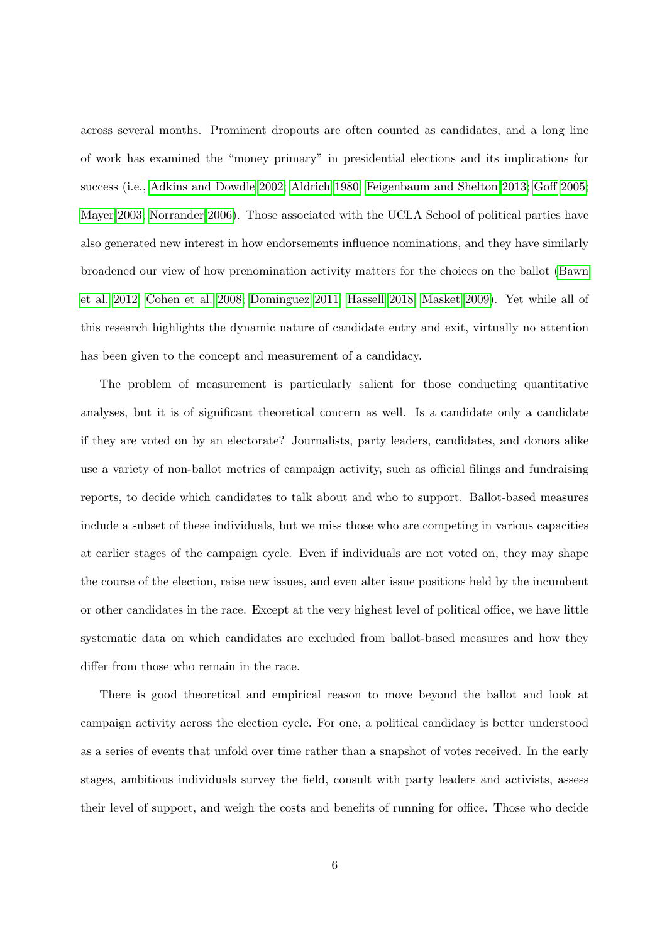across several months. Prominent dropouts are often counted as candidates, and a long line of work has examined the "money primary" in presidential elections and its implications for success (i.e., [Adkins and Dowdle 2002;](#page-28-10) [Aldrich 1980;](#page-28-11) [Feigenbaum and Shelton 2013;](#page-29-8) [Goff 2005;](#page-29-9) [Mayer 2003;](#page-30-8) [Norrander 2006\)](#page-30-9). Those associated with the UCLA School of political parties have also generated new interest in how endorsements influence nominations, and they have similarly broadened our view of how prenomination activity matters for the choices on the ballot [\(Bawn](#page-28-7) [et al. 2012;](#page-28-7) [Cohen et al. 2008;](#page-28-8) [Dominguez 2011;](#page-29-5) [Hassell 2018;](#page-29-6) [Masket 2009\)](#page-30-5). Yet while all of this research highlights the dynamic nature of candidate entry and exit, virtually no attention has been given to the concept and measurement of a candidacy.

The problem of measurement is particularly salient for those conducting quantitative analyses, but it is of significant theoretical concern as well. Is a candidate only a candidate if they are voted on by an electorate? Journalists, party leaders, candidates, and donors alike use a variety of non-ballot metrics of campaign activity, such as official filings and fundraising reports, to decide which candidates to talk about and who to support. Ballot-based measures include a subset of these individuals, but we miss those who are competing in various capacities at earlier stages of the campaign cycle. Even if individuals are not voted on, they may shape the course of the election, raise new issues, and even alter issue positions held by the incumbent or other candidates in the race. Except at the very highest level of political office, we have little systematic data on which candidates are excluded from ballot-based measures and how they differ from those who remain in the race.

There is good theoretical and empirical reason to move beyond the ballot and look at campaign activity across the election cycle. For one, a political candidacy is better understood as a series of events that unfold over time rather than a snapshot of votes received. In the early stages, ambitious individuals survey the field, consult with party leaders and activists, assess their level of support, and weigh the costs and benefits of running for office. Those who decide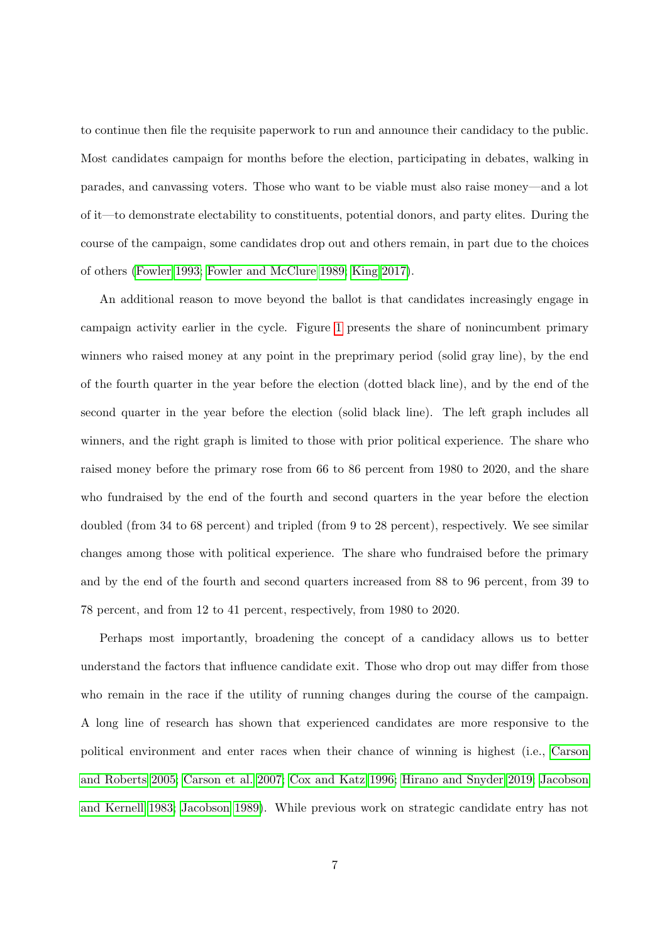to continue then file the requisite paperwork to run and announce their candidacy to the public. Most candidates campaign for months before the election, participating in debates, walking in parades, and canvassing voters. Those who want to be viable must also raise money—and a lot of it—to demonstrate electability to constituents, potential donors, and party elites. During the course of the campaign, some candidates drop out and others remain, in part due to the choices of others [\(Fowler 1993;](#page-29-10) [Fowler and McClure 1989;](#page-29-7) [King 2017\)](#page-30-7).

An additional reason to move beyond the ballot is that candidates increasingly engage in campaign activity earlier in the cycle. Figure [1](#page-8-0) presents the share of nonincumbent primary winners who raised money at any point in the preprimary period (solid gray line), by the end of the fourth quarter in the year before the election (dotted black line), and by the end of the second quarter in the year before the election (solid black line). The left graph includes all winners, and the right graph is limited to those with prior political experience. The share who raised money before the primary rose from 66 to 86 percent from 1980 to 2020, and the share who fundraised by the end of the fourth and second quarters in the year before the election doubled (from 34 to 68 percent) and tripled (from 9 to 28 percent), respectively. We see similar changes among those with political experience. The share who fundraised before the primary and by the end of the fourth and second quarters increased from 88 to 96 percent, from 39 to 78 percent, and from 12 to 41 percent, respectively, from 1980 to 2020.

Perhaps most importantly, broadening the concept of a candidacy allows us to better understand the factors that influence candidate exit. Those who drop out may differ from those who remain in the race if the utility of running changes during the course of the campaign. A long line of research has shown that experienced candidates are more responsive to the political environment and enter races when their chance of winning is highest (i.e., [Carson](#page-28-4) [and Roberts 2005;](#page-28-4) [Carson et al. 2007;](#page-28-5) [Cox and Katz 1996;](#page-28-6) [Hirano and Snyder 2019;](#page-29-4) [Jacobson](#page-29-2) [and Kernell 1983;](#page-29-2) [Jacobson 1989\)](#page-29-3). While previous work on strategic candidate entry has not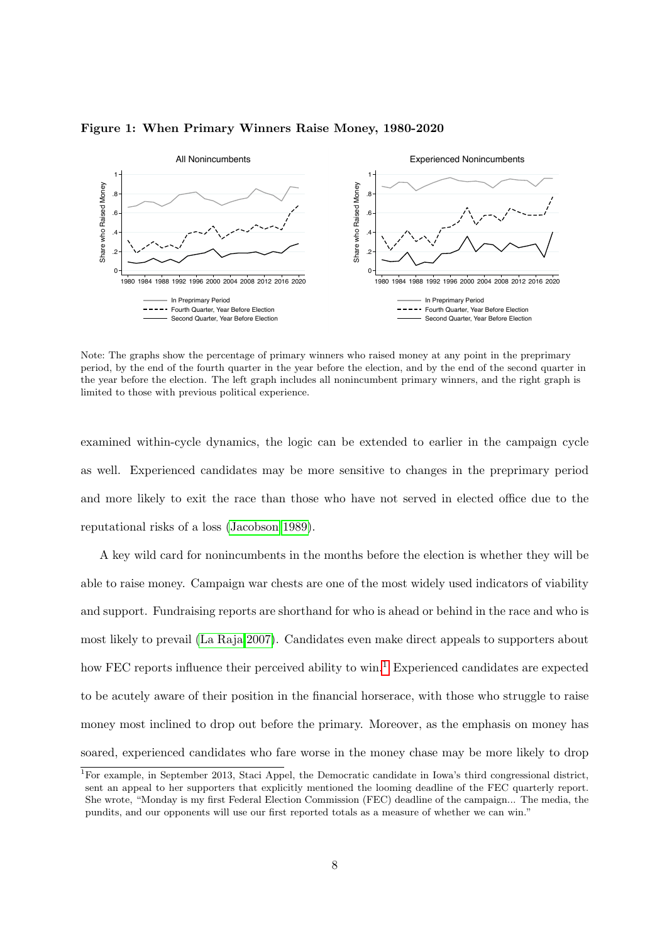

#### <span id="page-8-0"></span>Figure 1: When Primary Winners Raise Money, 1980-2020

Note: The graphs show the percentage of primary winners who raised money at any point in the preprimary period, by the end of the fourth quarter in the year before the election, and by the end of the second quarter in the year before the election. The left graph includes all nonincumbent primary winners, and the right graph is limited to those with previous political experience.

examined within-cycle dynamics, the logic can be extended to earlier in the campaign cycle as well. Experienced candidates may be more sensitive to changes in the preprimary period and more likely to exit the race than those who have not served in elected office due to the reputational risks of a loss [\(Jacobson 1989\)](#page-29-3).

A key wild card for nonincumbents in the months before the election is whether they will be able to raise money. Campaign war chests are one of the most widely used indicators of viability and support. Fundraising reports are shorthand for who is ahead or behind in the race and who is most likely to prevail [\(La Raja 2007\)](#page-30-10). Candidates even make direct appeals to supporters about how FEC reports influence their perceived ability to  $\sin^{-1}$  $\sin^{-1}$  $\sin^{-1}$  Experienced candidates are expected to be acutely aware of their position in the financial horserace, with those who struggle to raise money most inclined to drop out before the primary. Moreover, as the emphasis on money has soared, experienced candidates who fare worse in the money chase may be more likely to drop

<sup>&</sup>lt;sup>1</sup>For example, in September 2013, Staci Appel, the Democratic candidate in Iowa's third congressional district, sent an appeal to her supporters that explicitly mentioned the looming deadline of the FEC quarterly report. She wrote, "Monday is my first Federal Election Commission (FEC) deadline of the campaign... The media, the pundits, and our opponents will use our first reported totals as a measure of whether we can win."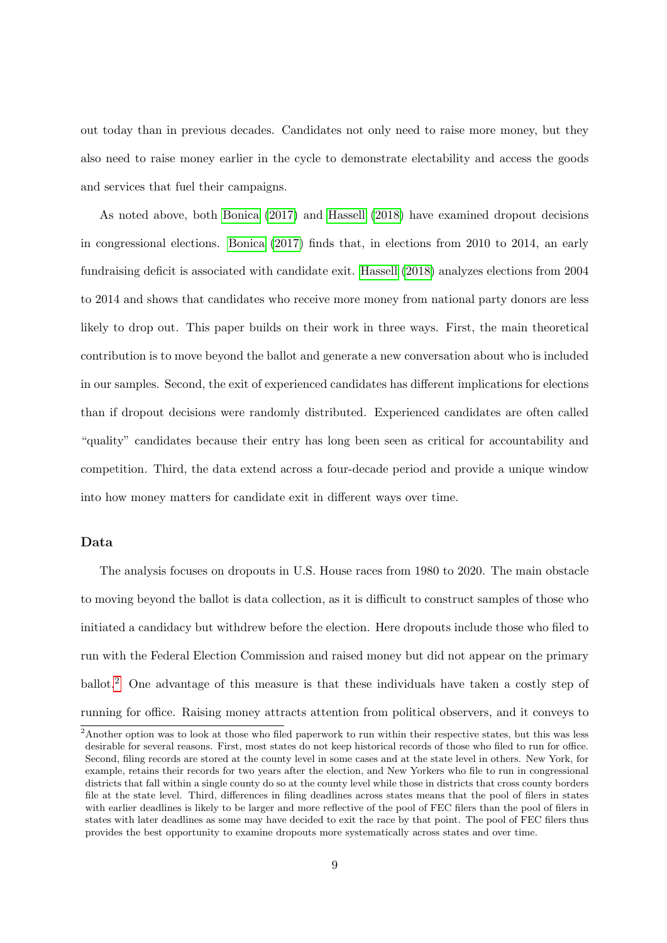out today than in previous decades. Candidates not only need to raise more money, but they also need to raise money earlier in the cycle to demonstrate electability and access the goods and services that fuel their campaigns.

As noted above, both [Bonica](#page-28-9) [\(2017\)](#page-28-9) and [Hassell](#page-29-6) [\(2018\)](#page-29-6) have examined dropout decisions in congressional elections. [Bonica](#page-28-9) [\(2017\)](#page-28-9) finds that, in elections from 2010 to 2014, an early fundraising deficit is associated with candidate exit. [Hassell](#page-29-6) [\(2018\)](#page-29-6) analyzes elections from 2004 to 2014 and shows that candidates who receive more money from national party donors are less likely to drop out. This paper builds on their work in three ways. First, the main theoretical contribution is to move beyond the ballot and generate a new conversation about who is included in our samples. Second, the exit of experienced candidates has different implications for elections than if dropout decisions were randomly distributed. Experienced candidates are often called "quality" candidates because their entry has long been seen as critical for accountability and competition. Third, the data extend across a four-decade period and provide a unique window into how money matters for candidate exit in different ways over time.

### Data

The analysis focuses on dropouts in U.S. House races from 1980 to 2020. The main obstacle to moving beyond the ballot is data collection, as it is difficult to construct samples of those who initiated a candidacy but withdrew before the election. Here dropouts include those who filed to run with the Federal Election Commission and raised money but did not appear on the primary ballot.[2](#page-0-0) One advantage of this measure is that these individuals have taken a costly step of running for office. Raising money attracts attention from political observers, and it conveys to

<sup>&</sup>lt;sup>2</sup>Another option was to look at those who filed paperwork to run within their respective states, but this was less desirable for several reasons. First, most states do not keep historical records of those who filed to run for office. Second, filing records are stored at the county level in some cases and at the state level in others. New York, for example, retains their records for two years after the election, and New Yorkers who file to run in congressional districts that fall within a single county do so at the county level while those in districts that cross county borders file at the state level. Third, differences in filing deadlines across states means that the pool of filers in states with earlier deadlines is likely to be larger and more reflective of the pool of FEC filers than the pool of filers in states with later deadlines as some may have decided to exit the race by that point. The pool of FEC filers thus provides the best opportunity to examine dropouts more systematically across states and over time.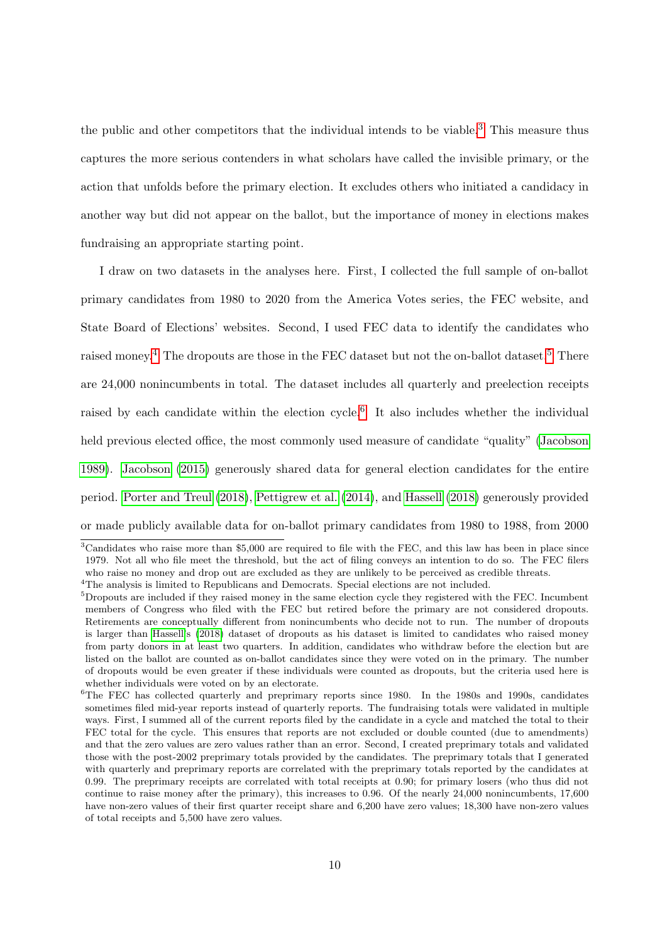the public and other competitors that the individual intends to be viable.<sup>[3](#page-0-0)</sup> This measure thus captures the more serious contenders in what scholars have called the invisible primary, or the action that unfolds before the primary election. It excludes others who initiated a candidacy in another way but did not appear on the ballot, but the importance of money in elections makes fundraising an appropriate starting point.

I draw on two datasets in the analyses here. First, I collected the full sample of on-ballot primary candidates from 1980 to 2020 from the America Votes series, the FEC website, and State Board of Elections' websites. Second, I used FEC data to identify the candidates who raised money.<sup>[4](#page-0-0)</sup> The dropouts are those in the FEC dataset but not the on-ballot dataset.<sup>[5](#page-0-0)</sup> There are 24,000 nonincumbents in total. The dataset includes all quarterly and preelection receipts raised by each candidate within the election cycle.<sup>[6](#page-0-0)</sup> It also includes whether the individual held previous elected office, the most commonly used measure of candidate "quality" [\(Jacobson](#page-29-3) [1989\)](#page-29-3). [Jacobson](#page-29-11) [\(2015\)](#page-29-11) generously shared data for general election candidates for the entire period. [Porter and Treul](#page-30-3) [\(2018\)](#page-30-3), [Pettigrew et al.](#page-30-11) [\(2014\)](#page-30-11), and [Hassell](#page-29-6) [\(2018\)](#page-29-6) generously provided or made publicly available data for on-ballot primary candidates from 1980 to 1988, from 2000

<sup>3</sup>Candidates who raise more than \$5,000 are required to file with the FEC, and this law has been in place since 1979. Not all who file meet the threshold, but the act of filing conveys an intention to do so. The FEC filers who raise no money and drop out are excluded as they are unlikely to be perceived as credible threats.

<sup>4</sup>The analysis is limited to Republicans and Democrats. Special elections are not included.

<sup>&</sup>lt;sup>5</sup>Dropouts are included if they raised money in the same election cycle they registered with the FEC. Incumbent members of Congress who filed with the FEC but retired before the primary are not considered dropouts. Retirements are conceptually different from nonincumbents who decide not to run. The number of dropouts is larger than [Hassell'](#page-29-6)s [\(2018\)](#page-29-6) dataset of dropouts as his dataset is limited to candidates who raised money from party donors in at least two quarters. In addition, candidates who withdraw before the election but are listed on the ballot are counted as on-ballot candidates since they were voted on in the primary. The number of dropouts would be even greater if these individuals were counted as dropouts, but the criteria used here is whether individuals were voted on by an electorate.

<sup>&</sup>lt;sup>6</sup>The FEC has collected quarterly and preprimary reports since 1980. In the 1980s and 1990s, candidates sometimes filed mid-year reports instead of quarterly reports. The fundraising totals were validated in multiple ways. First, I summed all of the current reports filed by the candidate in a cycle and matched the total to their FEC total for the cycle. This ensures that reports are not excluded or double counted (due to amendments) and that the zero values are zero values rather than an error. Second, I created preprimary totals and validated those with the post-2002 preprimary totals provided by the candidates. The preprimary totals that I generated with quarterly and preprimary reports are correlated with the preprimary totals reported by the candidates at 0.99. The preprimary receipts are correlated with total receipts at 0.90; for primary losers (who thus did not continue to raise money after the primary), this increases to 0.96. Of the nearly 24,000 nonincumbents, 17,600 have non-zero values of their first quarter receipt share and 6,200 have zero values; 18,300 have non-zero values of total receipts and 5,500 have zero values.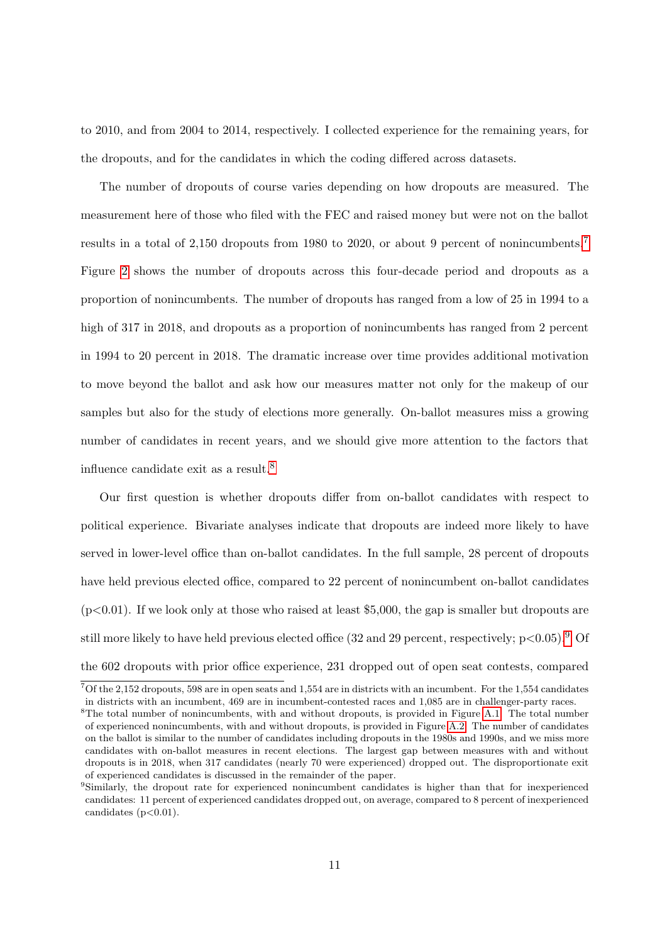to 2010, and from 2004 to 2014, respectively. I collected experience for the remaining years, for the dropouts, and for the candidates in which the coding differed across datasets.

The number of dropouts of course varies depending on how dropouts are measured. The measurement here of those who filed with the FEC and raised money but were not on the ballot results in a total of 2,150 dropouts from 1980 to 2020, or about 9 percent of nonincumbents.[7](#page-0-0) Figure [2](#page-12-0) shows the number of dropouts across this four-decade period and dropouts as a proportion of nonincumbents. The number of dropouts has ranged from a low of 25 in 1994 to a high of 317 in 2018, and dropouts as a proportion of nonincumbents has ranged from 2 percent in 1994 to 20 percent in 2018. The dramatic increase over time provides additional motivation to move beyond the ballot and ask how our measures matter not only for the makeup of our samples but also for the study of elections more generally. On-ballot measures miss a growing number of candidates in recent years, and we should give more attention to the factors that influence candidate exit as a result.[8](#page-0-0)

Our first question is whether dropouts differ from on-ballot candidates with respect to political experience. Bivariate analyses indicate that dropouts are indeed more likely to have served in lower-level office than on-ballot candidates. In the full sample, 28 percent of dropouts have held previous elected office, compared to 22 percent of nonincumbent on-ballot candidates  $(p<0.01)$ . If we look only at those who raised at least \$5,000, the gap is smaller but dropouts are still more likely to have held previous elected office (32 and 2[9](#page-0-0) percent, respectively;  $p<0.05$ ).<sup>9</sup> Of the 602 dropouts with prior office experience, 231 dropped out of open seat contests, compared

<sup>7</sup>Of the 2,152 dropouts, 598 are in open seats and 1,554 are in districts with an incumbent. For the 1,554 candidates in districts with an incumbent, 469 are in incumbent-contested races and 1,085 are in challenger-party races.

<sup>&</sup>lt;sup>8</sup>The total number of nonincumbents, with and without dropouts, is provided in Figure [A.1.](#page-32-0) The total number of experienced nonincumbents, with and without dropouts, is provided in Figure [A.2.](#page-32-1) The number of candidates on the ballot is similar to the number of candidates including dropouts in the 1980s and 1990s, and we miss more candidates with on-ballot measures in recent elections. The largest gap between measures with and without dropouts is in 2018, when 317 candidates (nearly 70 were experienced) dropped out. The disproportionate exit of experienced candidates is discussed in the remainder of the paper.

<sup>9</sup>Similarly, the dropout rate for experienced nonincumbent candidates is higher than that for inexperienced candidates: 11 percent of experienced candidates dropped out, on average, compared to 8 percent of inexperienced candidates  $(p<0.01)$ .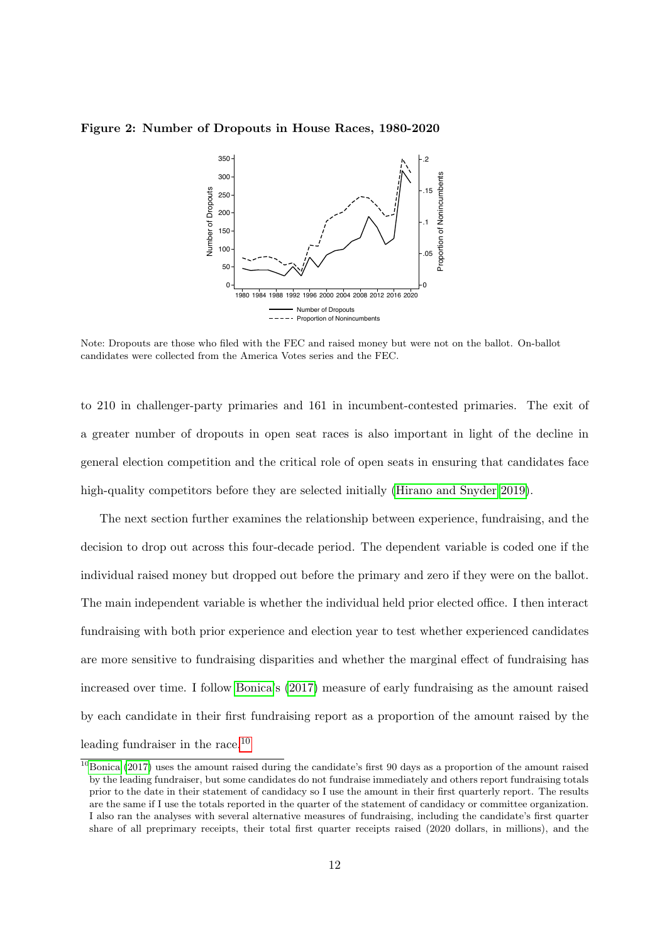#### <span id="page-12-0"></span>Figure 2: Number of Dropouts in House Races, 1980-2020



Note: Dropouts are those who filed with the FEC and raised money but were not on the ballot. On-ballot candidates were collected from the America Votes series and the FEC.

to 210 in challenger-party primaries and 161 in incumbent-contested primaries. The exit of a greater number of dropouts in open seat races is also important in light of the decline in general election competition and the critical role of open seats in ensuring that candidates face high-quality competitors before they are selected initially [\(Hirano and Snyder 2019\)](#page-29-4).

The next section further examines the relationship between experience, fundraising, and the decision to drop out across this four-decade period. The dependent variable is coded one if the individual raised money but dropped out before the primary and zero if they were on the ballot. The main independent variable is whether the individual held prior elected office. I then interact fundraising with both prior experience and election year to test whether experienced candidates are more sensitive to fundraising disparities and whether the marginal effect of fundraising has increased over time. I follow [Bonica'](#page-28-9)s [\(2017\)](#page-28-9) measure of early fundraising as the amount raised by each candidate in their first fundraising report as a proportion of the amount raised by the leading fundraiser in the race.[10](#page-0-0)

 $\frac{10}{10}$ [Bonica](#page-28-9) [\(2017\)](#page-28-9) uses the amount raised during the candidate's first 90 days as a proportion of the amount raised by the leading fundraiser, but some candidates do not fundraise immediately and others report fundraising totals prior to the date in their statement of candidacy so I use the amount in their first quarterly report. The results are the same if I use the totals reported in the quarter of the statement of candidacy or committee organization. I also ran the analyses with several alternative measures of fundraising, including the candidate's first quarter share of all preprimary receipts, their total first quarter receipts raised (2020 dollars, in millions), and the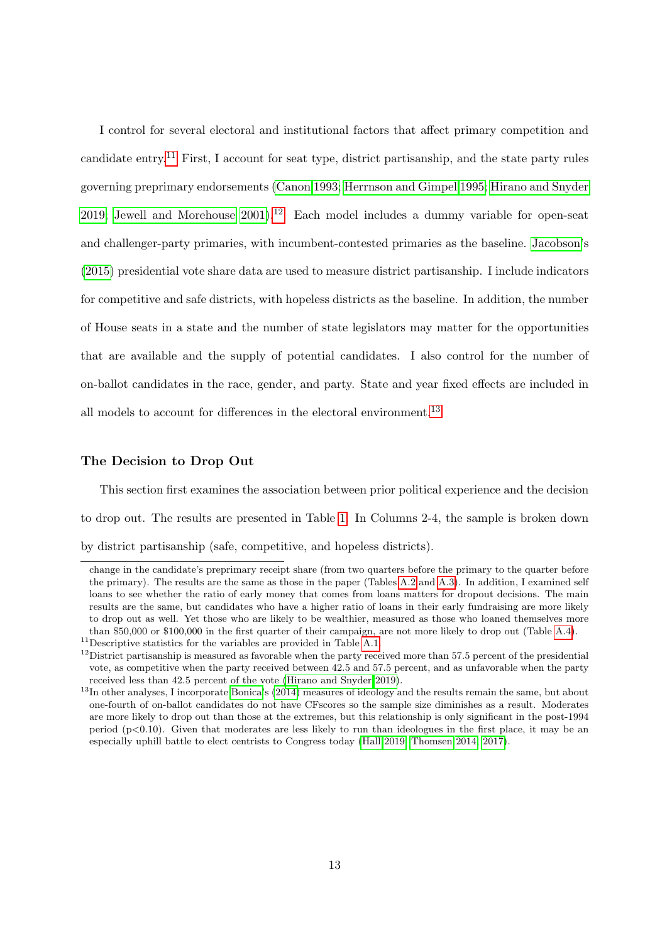I control for several electoral and institutional factors that affect primary competition and candidate entry.<sup>[11](#page-0-0)</sup> First, I account for seat type, district partisanship, and the state party rules governing preprimary endorsements [\(Canon 1993;](#page-28-12) [Herrnson and Gimpel 1995;](#page-29-12) [Hirano and Snyder](#page-29-4) [2019;](#page-29-4) Jewell and Morehouse  $2001$ .<sup>[12](#page-0-0)</sup> Each model includes a dummy variable for open-seat and challenger-party primaries, with incumbent-contested primaries as the baseline. [Jacobson'](#page-29-11)s [\(2015\)](#page-29-11) presidential vote share data are used to measure district partisanship. I include indicators for competitive and safe districts, with hopeless districts as the baseline. In addition, the number of House seats in a state and the number of state legislators may matter for the opportunities that are available and the supply of potential candidates. I also control for the number of on-ballot candidates in the race, gender, and party. State and year fixed effects are included in all models to account for differences in the electoral environment.<sup>[13](#page-0-0)</sup>

#### The Decision to Drop Out

This section first examines the association between prior political experience and the decision to drop out. The results are presented in Table [1.](#page-14-0) In Columns 2-4, the sample is broken down by district partisanship (safe, competitive, and hopeless districts).

change in the candidate's preprimary receipt share (from two quarters before the primary to the quarter before the primary). The results are the same as those in the paper (Tables [A.2](#page-34-0) and [A.3\)](#page-35-0). In addition, I examined self loans to see whether the ratio of early money that comes from loans matters for dropout decisions. The main results are the same, but candidates who have a higher ratio of loans in their early fundraising are more likely to drop out as well. Yet those who are likely to be wealthier, measured as those who loaned themselves more than \$50,000 or \$100,000 in the first quarter of their campaign, are not more likely to drop out (Table [A.4\)](#page-36-0).

 $^{11}{\rm Descriptive}$  statistics for the variables are provided in Table [A.1.](#page-33-0)

 $12$ District partisanship is measured as favorable when the party received more than 57.5 percent of the presidential vote, as competitive when the party received between 42.5 and 57.5 percent, and as unfavorable when the party received less than 42.5 percent of the vote [\(Hirano and Snyder 2019\)](#page-29-4).

 $13$ In other analyses, I incorporate [Bonica'](#page-28-13)s  $(2014)$  measures of ideology and the results remain the same, but about one-fourth of on-ballot candidates do not have CFscores so the sample size diminishes as a result. Moderates are more likely to drop out than those at the extremes, but this relationship is only significant in the post-1994 period  $(p<0.10)$ . Given that moderates are less likely to run than ideologues in the first place, it may be an especially uphill battle to elect centrists to Congress today [\(Hall 2019;](#page-29-1) [Thomsen 2014,](#page-31-1) [2017\)](#page-31-2).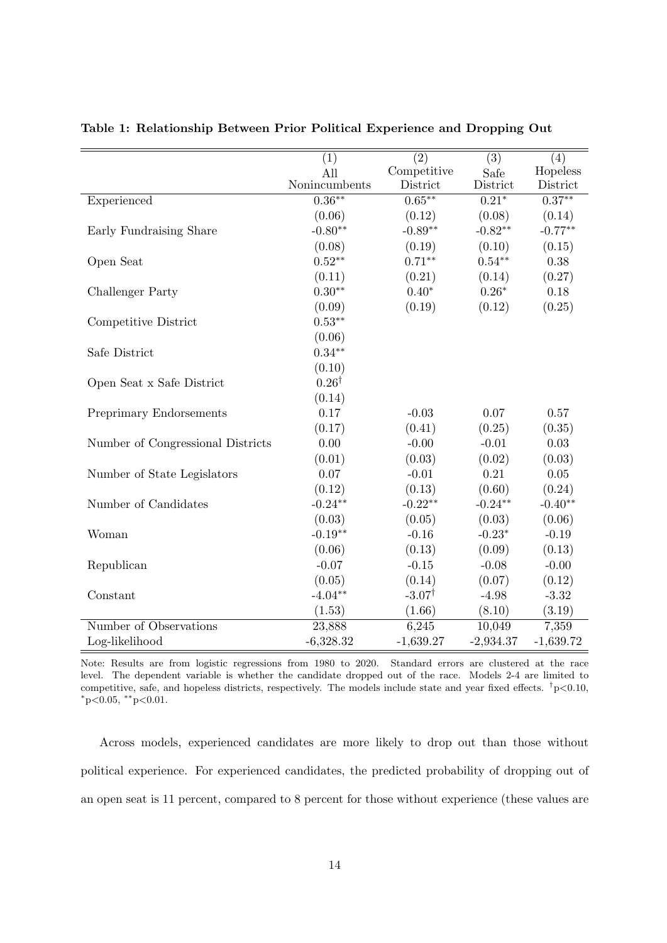|                                   | (1)              | $\overline{(2)}$  | $\overline{(3)}$ | (4)         |
|-----------------------------------|------------------|-------------------|------------------|-------------|
|                                   | All              | Competitive       | Safe             | Hopeless    |
|                                   | Nonincumbents    | District          | District         | District    |
| Experienced                       | $0.36***$        | $0.65***$         | $0.21*$          | $0.37***$   |
|                                   | (0.06)           | (0.12)            | (0.08)           | (0.14)      |
| Early Fundraising Share           | $-0.80**$        | $-0.89**$         | $-0.82**$        | $-0.77**$   |
|                                   | (0.08)           | (0.19)            | (0.10)           | (0.15)      |
| Open Seat                         | $0.52**$         | $0.71**$          | $0.54**$         | 0.38        |
|                                   | (0.11)           | (0.21)            | (0.14)           | (0.27)      |
| <b>Challenger Party</b>           | $0.30**$         | $0.40*$           | $0.26*$          | 0.18        |
|                                   | (0.09)           | (0.19)            | (0.12)           | (0.25)      |
| Competitive District              | $0.53**$         |                   |                  |             |
|                                   | (0.06)           |                   |                  |             |
| Safe District                     | $0.34**$         |                   |                  |             |
|                                   | (0.10)           |                   |                  |             |
| Open Seat x Safe District         | $0.26^{\dagger}$ |                   |                  |             |
|                                   | (0.14)           |                   |                  |             |
| <b>Preprimary Endorsements</b>    | 0.17             | $-0.03$           | 0.07             | 0.57        |
|                                   | (0.17)           | (0.41)            | (0.25)           | (0.35)      |
| Number of Congressional Districts | 0.00             | $-0.00$           | $-0.01$          | 0.03        |
|                                   | (0.01)           | (0.03)            | (0.02)           | (0.03)      |
| Number of State Legislators       | 0.07             | $-0.01$           | 0.21             | $0.05\,$    |
|                                   | (0.12)           | (0.13)            | (0.60)           | (0.24)      |
| Number of Candidates              | $-0.24**$        | $-0.22**$         | $-0.24***$       | $-0.40**$   |
|                                   | (0.03)           | (0.05)            | (0.03)           | (0.06)      |
| Woman                             | $-0.19**$        | $-0.16$           | $-0.23*$         | $-0.19$     |
|                                   | (0.06)           | (0.13)            | (0.09)           | (0.13)      |
| Republican                        | $-0.07$          | $-0.15$           | $-0.08$          | $-0.00$     |
|                                   | (0.05)           | (0.14)            | (0.07)           | (0.12)      |
| Constant                          | $-4.04**$        | $-3.07^{\dagger}$ | $-4.98$          | $-3.32$     |
|                                   | (1.53)           | (1.66)            | (8.10)           | (3.19)      |
| Number of Observations            | 23,888           | 6,245             | 10,049           | 7,359       |
| Log-likelihood                    | $-6,328.32$      | $-1,639.27$       | $-2,934.37$      | $-1,639.72$ |

<span id="page-14-0"></span>Table 1: Relationship Between Prior Political Experience and Dropping Out

Note: Results are from logistic regressions from 1980 to 2020. Standard errors are clustered at the race level. The dependent variable is whether the candidate dropped out of the race. Models 2-4 are limited to competitive, safe, and hopeless districts, respectively. The models include state and year fixed effects.  $\dagger p < 0.10$ ,  $*p<0.05$ ,  $*p<0.01$ .

Across models, experienced candidates are more likely to drop out than those without political experience. For experienced candidates, the predicted probability of dropping out of an open seat is 11 percent, compared to 8 percent for those without experience (these values are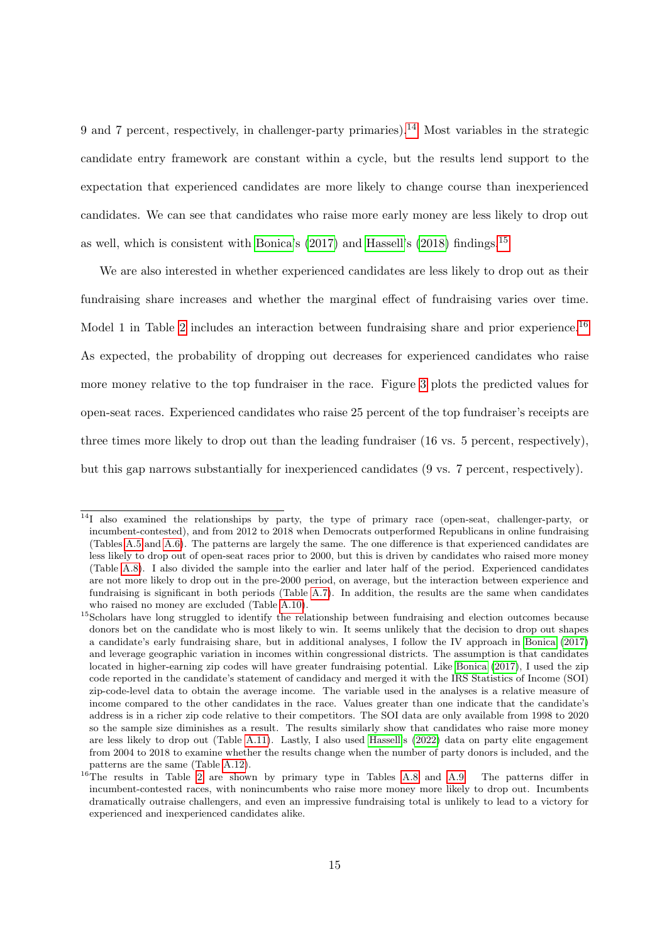9 and 7 percent, respectively, in challenger-party primaries).<sup>[14](#page-0-0)</sup> Most variables in the strategic candidate entry framework are constant within a cycle, but the results lend support to the expectation that experienced candidates are more likely to change course than inexperienced candidates. We can see that candidates who raise more early money are less likely to drop out as well, which is consistent with [Bonica'](#page-28-9)s [\(2017\)](#page-28-9) and [Hassell'](#page-29-6)s [\(2018\)](#page-29-6) findings.[15](#page-0-0)

We are also interested in whether experienced candidates are less likely to drop out as their fundraising share increases and whether the marginal effect of fundraising varies over time. Model 1 in Table [2](#page-16-0) includes an interaction between fundraising share and prior experience.<sup>[16](#page-0-0)</sup> As expected, the probability of dropping out decreases for experienced candidates who raise more money relative to the top fundraiser in the race. Figure [3](#page-17-0) plots the predicted values for open-seat races. Experienced candidates who raise 25 percent of the top fundraiser's receipts are three times more likely to drop out than the leading fundraiser (16 vs. 5 percent, respectively), but this gap narrows substantially for inexperienced candidates (9 vs. 7 percent, respectively).

<sup>&</sup>lt;sup>14</sup>I also examined the relationships by party, the type of primary race (open-seat, challenger-party, or incumbent-contested), and from 2012 to 2018 when Democrats outperformed Republicans in online fundraising (Tables [A.5](#page-37-0) and [A.6\)](#page-38-0). The patterns are largely the same. The one difference is that experienced candidates are less likely to drop out of open-seat races prior to 2000, but this is driven by candidates who raised more money (Table [A.8\)](#page-40-0). I also divided the sample into the earlier and later half of the period. Experienced candidates are not more likely to drop out in the pre-2000 period, on average, but the interaction between experience and fundraising is significant in both periods (Table [A.7\)](#page-39-0). In addition, the results are the same when candidates who raised no money are excluded (Table [A.10\)](#page-42-0).

<sup>&</sup>lt;sup>15</sup>Scholars have long struggled to identify the relationship between fundraising and election outcomes because donors bet on the candidate who is most likely to win. It seems unlikely that the decision to drop out shapes a candidate's early fundraising share, but in additional analyses, I follow the IV approach in [Bonica](#page-28-9) [\(2017\)](#page-28-9) and leverage geographic variation in incomes within congressional districts. The assumption is that candidates located in higher-earning zip codes will have greater fundraising potential. Like [Bonica](#page-28-9) [\(2017\)](#page-28-9), I used the zip code reported in the candidate's statement of candidacy and merged it with the IRS Statistics of Income (SOI) zip-code-level data to obtain the average income. The variable used in the analyses is a relative measure of income compared to the other candidates in the race. Values greater than one indicate that the candidate's address is in a richer zip code relative to their competitors. The SOI data are only available from 1998 to 2020 so the sample size diminishes as a result. The results similarly show that candidates who raise more money are less likely to drop out (Table [A.11\)](#page-43-0). Lastly, I also used [Hassell'](#page-29-13)s [\(2022\)](#page-29-13) data on party elite engagement from 2004 to 2018 to examine whether the results change when the number of party donors is included, and the patterns are the same (Table [A.12\)](#page-44-0).

<sup>&</sup>lt;sup>16</sup>The results in Table [2](#page-16-0) are shown by primary type in Tables [A.8](#page-40-0) and [A.9.](#page-41-0) The patterns differ in incumbent-contested races, with nonincumbents who raise more money more likely to drop out. Incumbents dramatically outraise challengers, and even an impressive fundraising total is unlikely to lead to a victory for experienced and inexperienced candidates alike.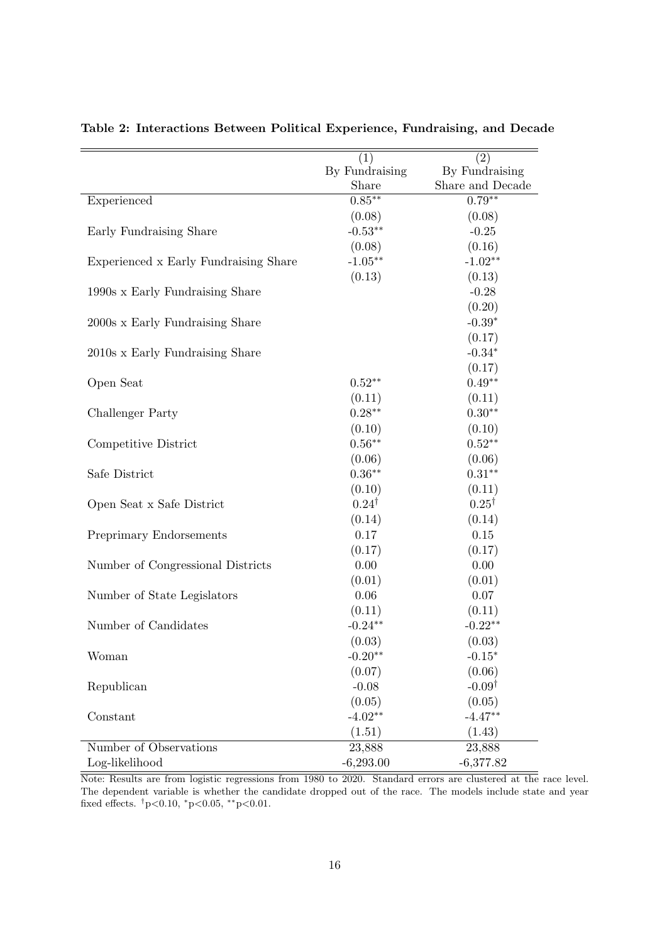|                                       | (1)              | (2)               |
|---------------------------------------|------------------|-------------------|
|                                       | By Fundraising   | By Fundraising    |
|                                       | Share            | Share and Decade  |
| Experienced                           | $0.85***$        | $0.79**$          |
|                                       | (0.08)           | (0.08)            |
| Early Fundraising Share               | $-0.53**$        | $-0.25$           |
|                                       | (0.08)           | (0.16)            |
| Experienced x Early Fundraising Share | $-1.05***$       | $-1.02**$         |
|                                       | (0.13)           | (0.13)            |
| 1990s x Early Fundraising Share       |                  | $-0.28$           |
|                                       |                  | (0.20)            |
| 2000s x Early Fundraising Share       |                  | $-0.39*$          |
|                                       |                  | (0.17)            |
| 2010s x Early Fundraising Share       |                  | $-0.34*$          |
|                                       |                  | (0.17)            |
| Open Seat                             | $0.52**$         | $0.49**$          |
|                                       | (0.11)           | (0.11)            |
| Challenger Party                      | $0.28***$        | $0.30**$          |
|                                       | (0.10)           | (0.10)            |
| Competitive District                  | $0.56**$         | $0.52**$          |
|                                       | (0.06)           | (0.06)            |
| Safe District                         | $0.36**$         | $0.31***$         |
|                                       | (0.10)           | (0.11)            |
| Open Seat x Safe District             | $0.24^{\dagger}$ | $0.25^{\dagger}$  |
|                                       | (0.14)           | (0.14)            |
| Preprimary Endorsements               | 0.17             | 0.15              |
|                                       | (0.17)           | (0.17)            |
| Number of Congressional Districts     | 0.00             | 0.00              |
|                                       | (0.01)           | (0.01)            |
| Number of State Legislators           | 0.06             | $0.07\,$          |
|                                       | (0.11)           | (0.11)            |
| Number of Candidates                  | $-0.24**$        | $-0.22**$         |
|                                       | (0.03)           | (0.03)            |
| Woman                                 | $-0.20**$        | $-0.15*$          |
|                                       | (0.07)           | (0.06)            |
| Republican                            | $-0.08$          | $-0.09^{\dagger}$ |
|                                       | (0.05)           | (0.05)            |
| Constant                              | $-4.02**$        | $-4.47**$         |
|                                       | (1.51)           | (1.43)            |
| Number of Observations                | 23,888           | 23,888            |
| Log-likelihood                        | $-6,293.00$      | $-6,377.82$       |

<span id="page-16-0"></span>Table 2: Interactions Between Political Experience, Fundraising, and Decade

Note: Results are from logistic regressions from 1980 to 2020. Standard errors are clustered at the race level. The dependent variable is whether the candidate dropped out of the race. The models include state and year fixed effects.  $\frac{1}{1}p<0.10$ ,  $\frac{1}{1}p<0.05$ ,  $\frac{1}{1}p<0.01$ .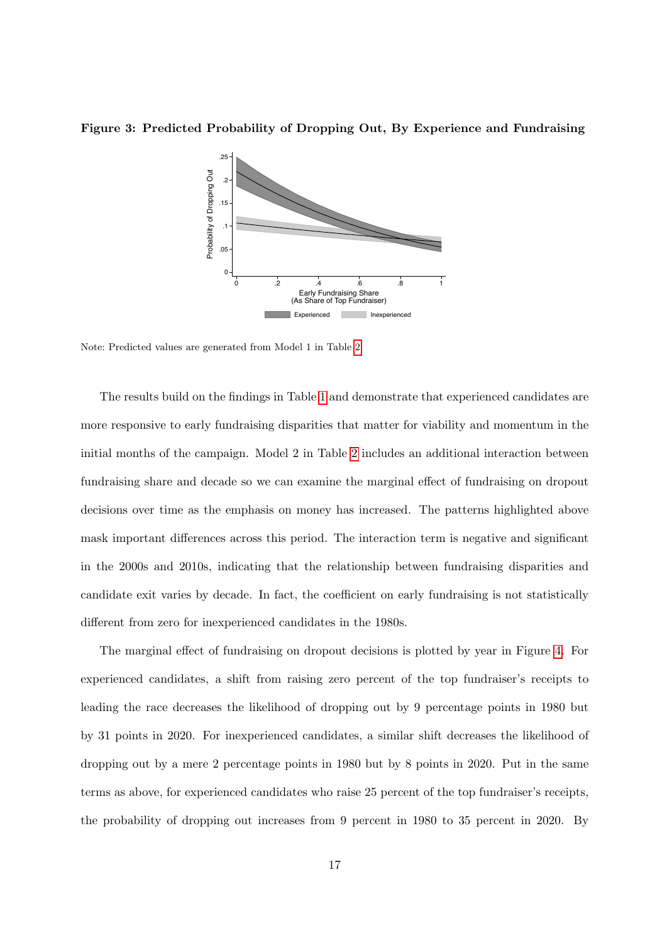<span id="page-17-0"></span>Figure 3: Predicted Probability of Dropping Out, By Experience and Fundraising



Note: Predicted values are generated from Model 1 in Table [2.](#page-16-0)

The results build on the findings in Table [1](#page-14-0) and demonstrate that experienced candidates are more responsive to early fundraising disparities that matter for viability and momentum in the initial months of the campaign. Model 2 in Table [2](#page-16-0) includes an additional interaction between fundraising share and decade so we can examine the marginal effect of fundraising on dropout decisions over time as the emphasis on money has increased. The patterns highlighted above mask important differences across this period. The interaction term is negative and significant in the 2000s and 2010s, indicating that the relationship between fundraising disparities and candidate exit varies by decade. In fact, the coefficient on early fundraising is not statistically different from zero for inexperienced candidates in the 1980s.

The marginal effect of fundraising on dropout decisions is plotted by year in Figure [4.](#page-18-0) For experienced candidates, a shift from raising zero percent of the top fundraiser's receipts to leading the race decreases the likelihood of dropping out by 9 percentage points in 1980 but by 31 points in 2020. For inexperienced candidates, a similar shift decreases the likelihood of dropping out by a mere 2 percentage points in 1980 but by 8 points in 2020. Put in the same terms as above, for experienced candidates who raise 25 percent of the top fundraiser's receipts, the probability of dropping out increases from 9 percent in 1980 to 35 percent in 2020. By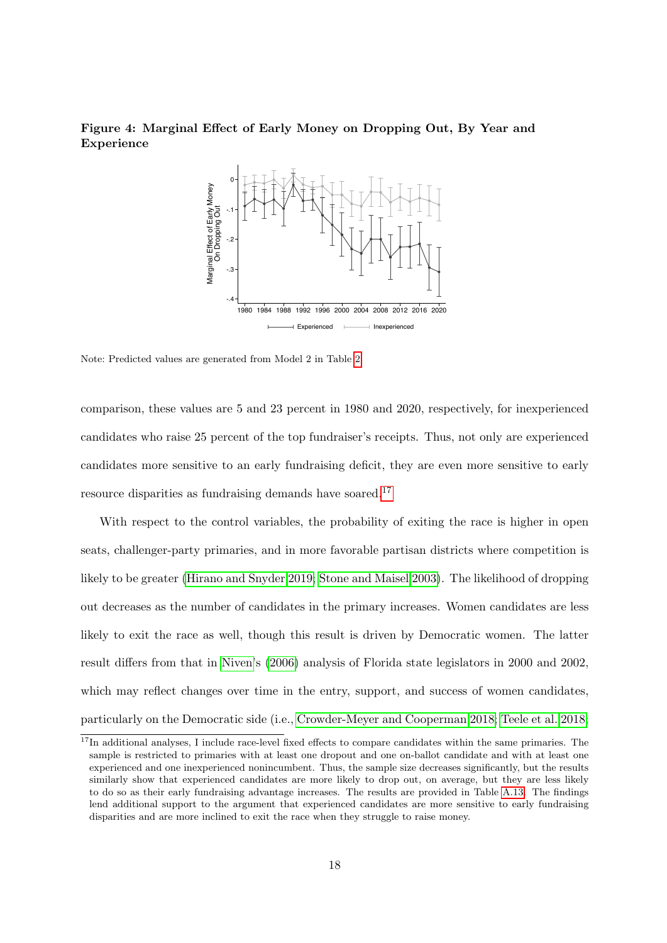# <span id="page-18-0"></span>Figure 4: Marginal Effect of Early Money on Dropping Out, By Year and Experience



Note: Predicted values are generated from Model 2 in Table [2.](#page-16-0)

comparison, these values are 5 and 23 percent in 1980 and 2020, respectively, for inexperienced candidates who raise 25 percent of the top fundraiser's receipts. Thus, not only are experienced candidates more sensitive to an early fundraising deficit, they are even more sensitive to early resource disparities as fundraising demands have soared.<sup>[17](#page-0-0)</sup>

With respect to the control variables, the probability of exiting the race is higher in open seats, challenger-party primaries, and in more favorable partisan districts where competition is likely to be greater [\(Hirano and Snyder 2019;](#page-29-4) [Stone and Maisel 2003\)](#page-30-13). The likelihood of dropping out decreases as the number of candidates in the primary increases. Women candidates are less likely to exit the race as well, though this result is driven by Democratic women. The latter result differs from that in [Niven'](#page-30-14)s [\(2006\)](#page-30-14) analysis of Florida state legislators in 2000 and 2002, which may reflect changes over time in the entry, support, and success of women candidates, particularly on the Democratic side (i.e., [Crowder-Meyer and Cooperman 2018;](#page-28-14) [Teele et al. 2018;](#page-31-3)

 $17$ In additional analyses, I include race-level fixed effects to compare candidates within the same primaries. The sample is restricted to primaries with at least one dropout and one on-ballot candidate and with at least one experienced and one inexperienced nonincumbent. Thus, the sample size decreases significantly, but the results similarly show that experienced candidates are more likely to drop out, on average, but they are less likely to do so as their early fundraising advantage increases. The results are provided in Table [A.13.](#page-45-0) The findings lend additional support to the argument that experienced candidates are more sensitive to early fundraising disparities and are more inclined to exit the race when they struggle to raise money.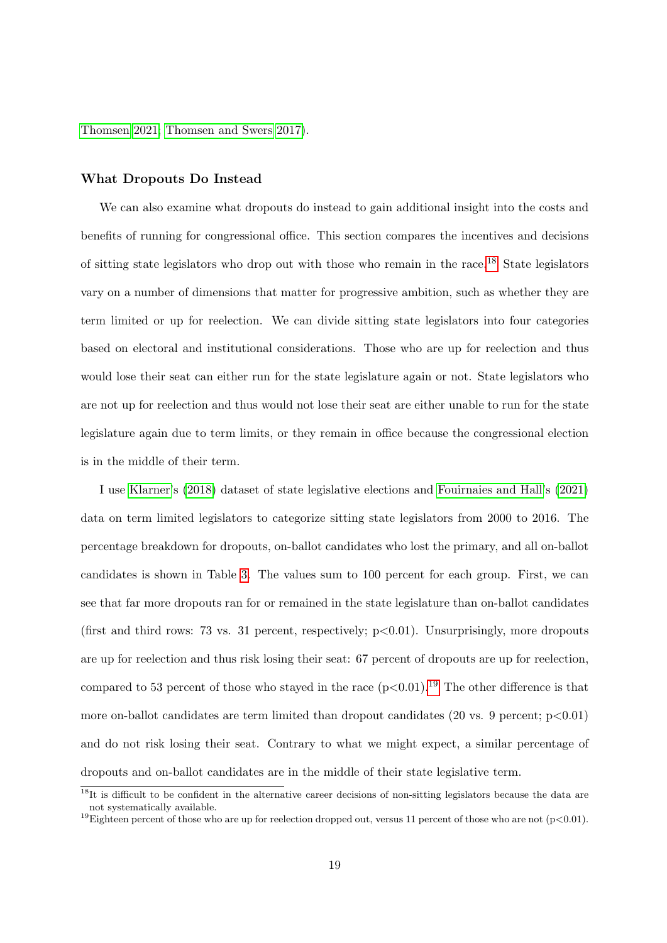[Thomsen 2021;](#page-31-4) [Thomsen and Swers 2017\)](#page-31-5).

#### What Dropouts Do Instead

We can also examine what dropouts do instead to gain additional insight into the costs and benefits of running for congressional office. This section compares the incentives and decisions of sitting state legislators who drop out with those who remain in the race.[18](#page-0-0) State legislators vary on a number of dimensions that matter for progressive ambition, such as whether they are term limited or up for reelection. We can divide sitting state legislators into four categories based on electoral and institutional considerations. Those who are up for reelection and thus would lose their seat can either run for the state legislature again or not. State legislators who are not up for reelection and thus would not lose their seat are either unable to run for the state legislature again due to term limits, or they remain in office because the congressional election is in the middle of their term.

I use [Klarner'](#page-30-15)s [\(2018\)](#page-30-15) dataset of state legislative elections and [Fouirnaies and Hall'](#page-29-14)s [\(2021\)](#page-29-14) data on term limited legislators to categorize sitting state legislators from 2000 to 2016. The percentage breakdown for dropouts, on-ballot candidates who lost the primary, and all on-ballot candidates is shown in Table [3.](#page-20-0) The values sum to 100 percent for each group. First, we can see that far more dropouts ran for or remained in the state legislature than on-ballot candidates (first and third rows: 73 vs. 31 percent, respectively;  $p < 0.01$ ). Unsurprisingly, more dropouts are up for reelection and thus risk losing their seat: 67 percent of dropouts are up for reelection, compared to 53 percent of those who stayed in the race  $(p<0.01)$ .<sup>[19](#page-0-0)</sup> The other difference is that more on-ballot candidates are term limited than dropout candidates  $(20 \text{ vs. } 9 \text{ percent}; p<0.01)$ and do not risk losing their seat. Contrary to what we might expect, a similar percentage of dropouts and on-ballot candidates are in the middle of their state legislative term.

 $18$ It is difficult to be confident in the alternative career decisions of non-sitting legislators because the data are not systematically available.

<sup>&</sup>lt;sup>19</sup>Eighteen percent of those who are up for reelection dropped out, versus 11 percent of those who are not (p<0.01).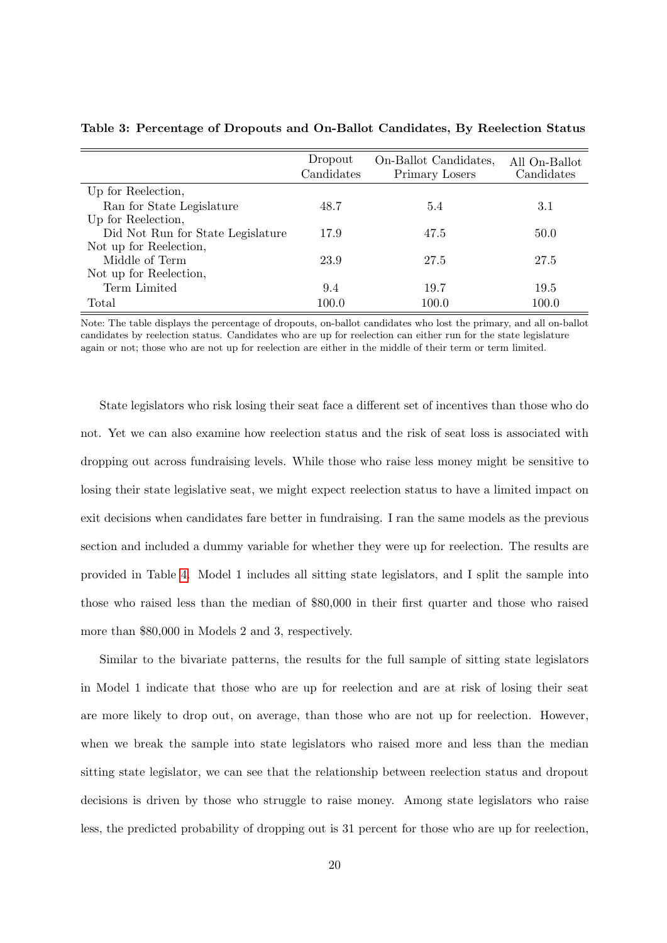|                                   | Dropout<br>Candidates | On-Ballot Candidates,<br>Primary Losers | All On-Ballot<br>Candidates |
|-----------------------------------|-----------------------|-----------------------------------------|-----------------------------|
| Up for Reelection,                |                       |                                         |                             |
| Ran for State Legislature         | 48.7                  | 5.4                                     | 3.1                         |
| Up for Reelection,                |                       |                                         |                             |
| Did Not Run for State Legislature | 17.9                  | 47.5                                    | 50.0                        |
| Not up for Reelection,            |                       |                                         |                             |
| Middle of Term                    | 23.9                  | 27.5                                    | 27.5                        |
| Not up for Reelection,            |                       |                                         |                             |
| Term Limited                      | 9.4                   | 19.7                                    | 19.5                        |
| Total                             | 100.0                 | 100.0                                   | 100.0                       |

<span id="page-20-0"></span>Table 3: Percentage of Dropouts and On-Ballot Candidates, By Reelection Status

Note: The table displays the percentage of dropouts, on-ballot candidates who lost the primary, and all on-ballot candidates by reelection status. Candidates who are up for reelection can either run for the state legislature again or not; those who are not up for reelection are either in the middle of their term or term limited.

State legislators who risk losing their seat face a different set of incentives than those who do not. Yet we can also examine how reelection status and the risk of seat loss is associated with dropping out across fundraising levels. While those who raise less money might be sensitive to losing their state legislative seat, we might expect reelection status to have a limited impact on exit decisions when candidates fare better in fundraising. I ran the same models as the previous section and included a dummy variable for whether they were up for reelection. The results are provided in Table [4.](#page-21-0) Model 1 includes all sitting state legislators, and I split the sample into those who raised less than the median of \$80,000 in their first quarter and those who raised more than \$80,000 in Models 2 and 3, respectively.

Similar to the bivariate patterns, the results for the full sample of sitting state legislators in Model 1 indicate that those who are up for reelection and are at risk of losing their seat are more likely to drop out, on average, than those who are not up for reelection. However, when we break the sample into state legislators who raised more and less than the median sitting state legislator, we can see that the relationship between reelection status and dropout decisions is driven by those who struggle to raise money. Among state legislators who raise less, the predicted probability of dropping out is 31 percent for those who are up for reelection,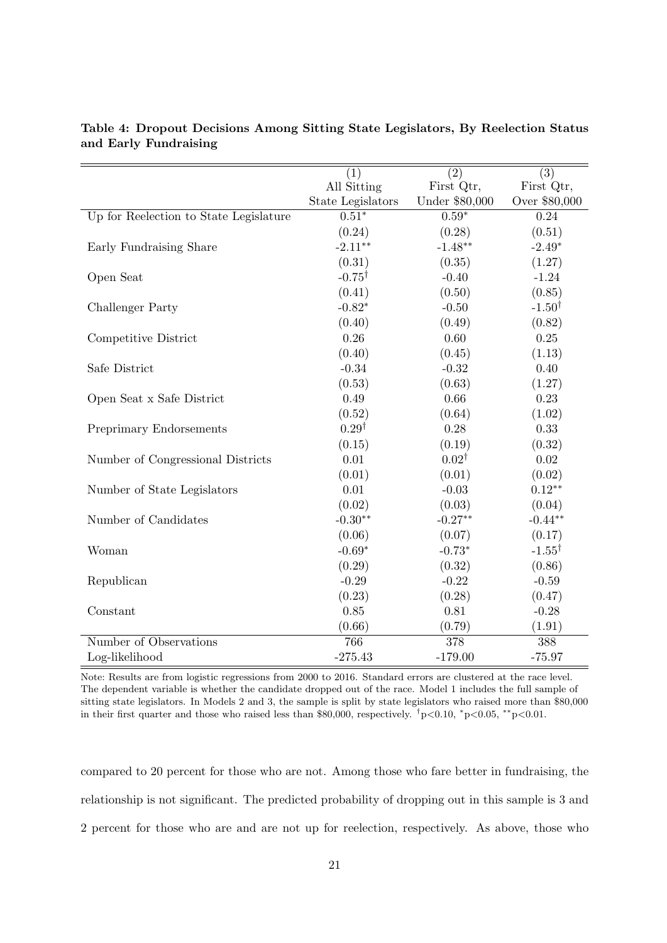|                                        | (1)<br>All Sitting | (2)<br>First Qtr, | (3)<br>First Qtr, |
|----------------------------------------|--------------------|-------------------|-------------------|
|                                        | State Legislators  | Under \$80,000    | Over \$80,000     |
| Up for Reelection to State Legislature | $0.51*$            | $0.59*$           | 0.24              |
|                                        | (0.24)             | (0.28)            | (0.51)            |
| Early Fundraising Share                | $-2.11**$          | $-1.48**$         | $-2.49*$          |
|                                        | (0.31)             | (0.35)            | (1.27)            |
| Open Seat                              | $-0.75^{\dagger}$  | $-0.40$           | $-1.24$           |
|                                        | (0.41)             | (0.50)            | (0.85)            |
| Challenger Party                       | $-0.82*$           | $-0.50$           | $-1.50^{\dagger}$ |
|                                        |                    |                   |                   |
|                                        | (0.40)             | (0.49)            | (0.82)            |
| Competitive District                   | 0.26               | 0.60              | 0.25              |
|                                        | (0.40)             | (0.45)            | (1.13)            |
| Safe District                          | $-0.34$            | $-0.32$           | 0.40              |
|                                        | (0.53)             | (0.63)            | (1.27)            |
| Open Seat x Safe District              | 0.49               | 0.66              | 0.23              |
|                                        | (0.52)             | (0.64)            | (1.02)            |
| Preprimary Endorsements                | $0.29^{\dagger}$   | 0.28              | 0.33              |
|                                        | (0.15)             | (0.19)            | (0.32)            |
| Number of Congressional Districts      | 0.01               | $0.02^{\dagger}$  | 0.02              |
|                                        | (0.01)             | (0.01)            | (0.02)            |
| Number of State Legislators            | 0.01               | $-0.03$           | $0.12**$          |
|                                        | (0.02)             | (0.03)            | (0.04)            |
| Number of Candidates                   | $-0.30**$          | $-0.27**$         | $-0.44**$         |
|                                        | (0.06)             | (0.07)            | (0.17)            |
| Woman                                  | $-0.69*$           | $-0.73*$          | $-1.55^{\dagger}$ |
|                                        | (0.29)             | (0.32)            | (0.86)            |
| Republican                             | $-0.29$            | $-0.22$           | $-0.59$           |
|                                        | (0.23)             | (0.28)            | (0.47)            |
| Constant                               | 0.85               | 0.81              | $-0.28$           |
|                                        | (0.66)             | (0.79)            | (1.91)            |
| Number of Observations                 | 766                | 378               | 388               |
| Log-likelihood                         | $-275.43$          | $-179.00$         | $-75.97$          |

<span id="page-21-0"></span>Table 4: Dropout Decisions Among Sitting State Legislators, By Reelection Status and Early Fundraising

Note: Results are from logistic regressions from 2000 to 2016. Standard errors are clustered at the race level. The dependent variable is whether the candidate dropped out of the race. Model 1 includes the full sample of sitting state legislators. In Models 2 and 3, the sample is split by state legislators who raised more than \$80,000 in their first quarter and those who raised less than \$80,000, respectively. <sup>†</sup>p<0.01, <sup>\*</sup>p<0.05, \*\*p<0.01.

compared to 20 percent for those who are not. Among those who fare better in fundraising, the relationship is not significant. The predicted probability of dropping out in this sample is 3 and 2 percent for those who are and are not up for reelection, respectively. As above, those who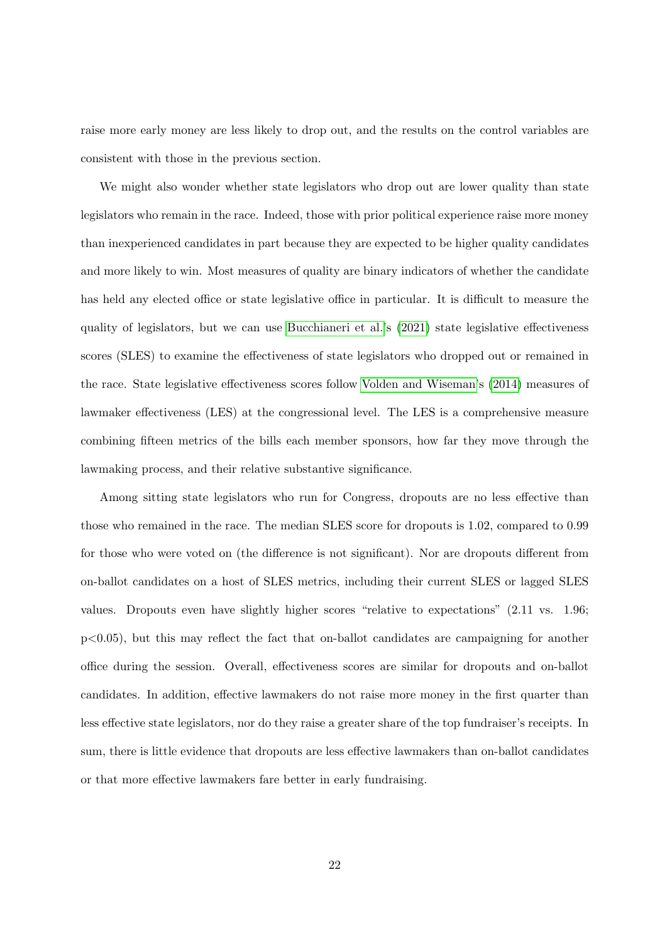raise more early money are less likely to drop out, and the results on the control variables are consistent with those in the previous section.

We might also wonder whether state legislators who drop out are lower quality than state legislators who remain in the race. Indeed, those with prior political experience raise more money than inexperienced candidates in part because they are expected to be higher quality candidates and more likely to win. Most measures of quality are binary indicators of whether the candidate has held any elected office or state legislative office in particular. It is difficult to measure the quality of legislators, but we can use [Bucchianeri et al.'](#page-28-0)s [\(2021\)](#page-28-0) state legislative effectiveness scores (SLES) to examine the effectiveness of state legislators who dropped out or remained in the race. State legislative effectiveness scores follow [Volden and Wiseman'](#page-31-0)s [\(2014\)](#page-31-0) measures of lawmaker effectiveness (LES) at the congressional level. The LES is a comprehensive measure combining fifteen metrics of the bills each member sponsors, how far they move through the lawmaking process, and their relative substantive significance.

Among sitting state legislators who run for Congress, dropouts are no less effective than those who remained in the race. The median SLES score for dropouts is 1.02, compared to 0.99 for those who were voted on (the difference is not significant). Nor are dropouts different from on-ballot candidates on a host of SLES metrics, including their current SLES or lagged SLES values. Dropouts even have slightly higher scores "relative to expectations" (2.11 vs. 1.96; p<0.05), but this may reflect the fact that on-ballot candidates are campaigning for another office during the session. Overall, effectiveness scores are similar for dropouts and on-ballot candidates. In addition, effective lawmakers do not raise more money in the first quarter than less effective state legislators, nor do they raise a greater share of the top fundraiser's receipts. In sum, there is little evidence that dropouts are less effective lawmakers than on-ballot candidates or that more effective lawmakers fare better in early fundraising.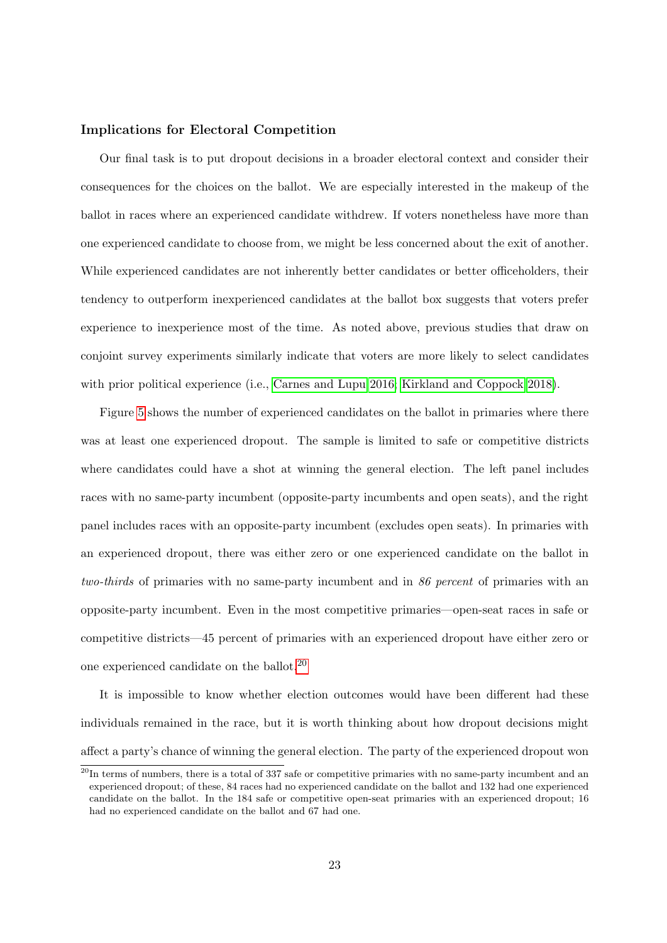### Implications for Electoral Competition

Our final task is to put dropout decisions in a broader electoral context and consider their consequences for the choices on the ballot. We are especially interested in the makeup of the ballot in races where an experienced candidate withdrew. If voters nonetheless have more than one experienced candidate to choose from, we might be less concerned about the exit of another. While experienced candidates are not inherently better candidates or better officeholders, their tendency to outperform inexperienced candidates at the ballot box suggests that voters prefer experience to inexperience most of the time. As noted above, previous studies that draw on conjoint survey experiments similarly indicate that voters are more likely to select candidates with prior political experience (i.e., [Carnes and Lupu 2016;](#page-28-3) [Kirkland and Coppock 2018\)](#page-30-4).

Figure [5](#page-24-0) shows the number of experienced candidates on the ballot in primaries where there was at least one experienced dropout. The sample is limited to safe or competitive districts where candidates could have a shot at winning the general election. The left panel includes races with no same-party incumbent (opposite-party incumbents and open seats), and the right panel includes races with an opposite-party incumbent (excludes open seats). In primaries with an experienced dropout, there was either zero or one experienced candidate on the ballot in two-thirds of primaries with no same-party incumbent and in 86 percent of primaries with an opposite-party incumbent. Even in the most competitive primaries—open-seat races in safe or competitive districts—45 percent of primaries with an experienced dropout have either zero or one experienced candidate on the ballot.[20](#page-0-0)

It is impossible to know whether election outcomes would have been different had these individuals remained in the race, but it is worth thinking about how dropout decisions might affect a party's chance of winning the general election. The party of the experienced dropout won

 $^{20}$ In terms of numbers, there is a total of 337 safe or competitive primaries with no same-party incumbent and an experienced dropout; of these, 84 races had no experienced candidate on the ballot and 132 had one experienced candidate on the ballot. In the 184 safe or competitive open-seat primaries with an experienced dropout; 16 had no experienced candidate on the ballot and 67 had one.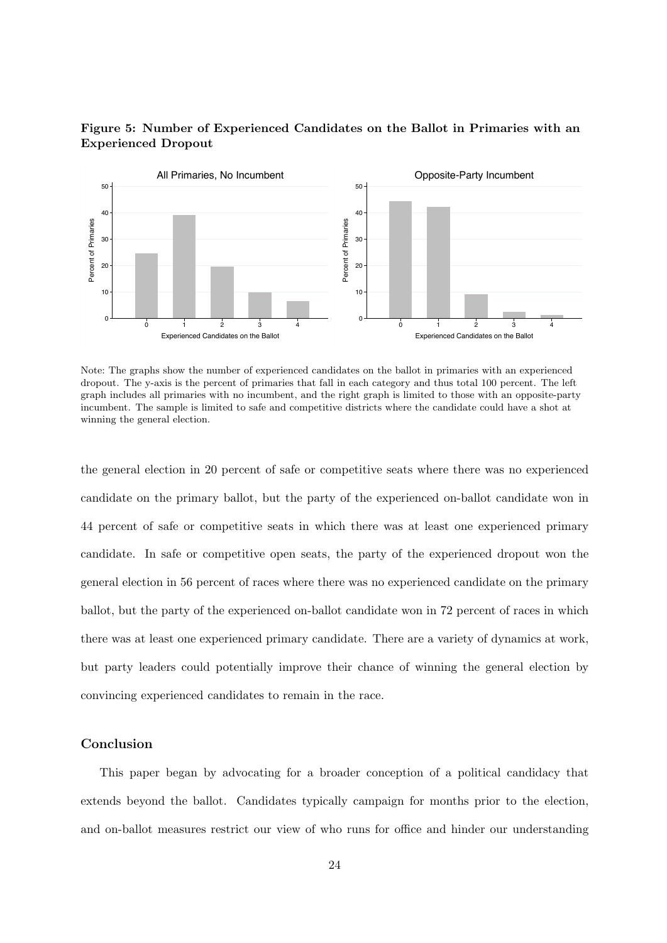<span id="page-24-0"></span>



Note: The graphs show the number of experienced candidates on the ballot in primaries with an experienced dropout. The y-axis is the percent of primaries that fall in each category and thus total 100 percent. The left graph includes all primaries with no incumbent, and the right graph is limited to those with an opposite-party incumbent. The sample is limited to safe and competitive districts where the candidate could have a shot at winning the general election.

the general election in 20 percent of safe or competitive seats where there was no experienced candidate on the primary ballot, but the party of the experienced on-ballot candidate won in 44 percent of safe or competitive seats in which there was at least one experienced primary candidate. In safe or competitive open seats, the party of the experienced dropout won the general election in 56 percent of races where there was no experienced candidate on the primary ballot, but the party of the experienced on-ballot candidate won in 72 percent of races in which there was at least one experienced primary candidate. There are a variety of dynamics at work, but party leaders could potentially improve their chance of winning the general election by convincing experienced candidates to remain in the race.

### Conclusion

This paper began by advocating for a broader conception of a political candidacy that extends beyond the ballot. Candidates typically campaign for months prior to the election, and on-ballot measures restrict our view of who runs for office and hinder our understanding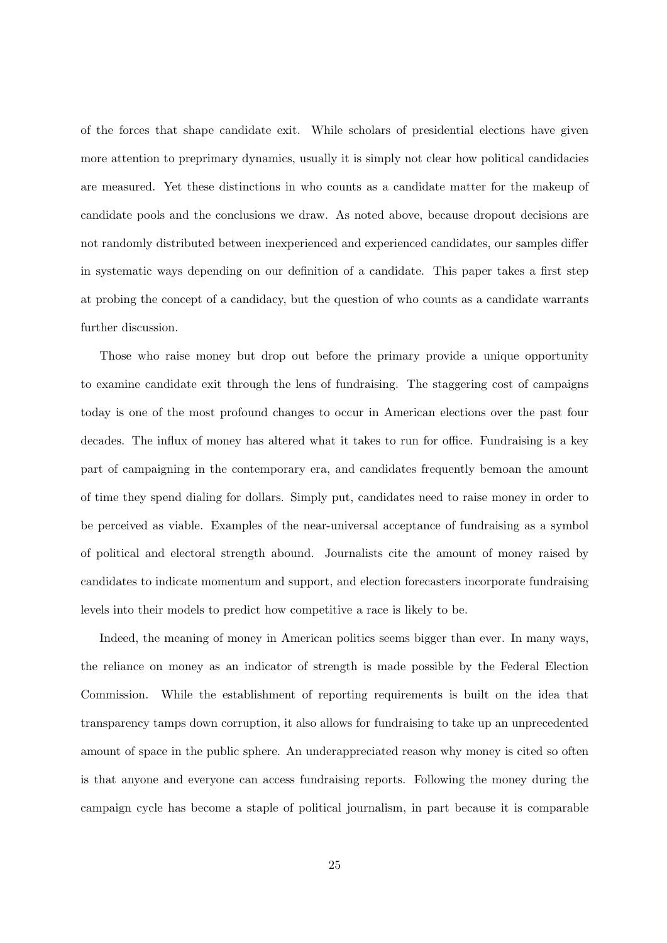of the forces that shape candidate exit. While scholars of presidential elections have given more attention to preprimary dynamics, usually it is simply not clear how political candidacies are measured. Yet these distinctions in who counts as a candidate matter for the makeup of candidate pools and the conclusions we draw. As noted above, because dropout decisions are not randomly distributed between inexperienced and experienced candidates, our samples differ in systematic ways depending on our definition of a candidate. This paper takes a first step at probing the concept of a candidacy, but the question of who counts as a candidate warrants further discussion.

Those who raise money but drop out before the primary provide a unique opportunity to examine candidate exit through the lens of fundraising. The staggering cost of campaigns today is one of the most profound changes to occur in American elections over the past four decades. The influx of money has altered what it takes to run for office. Fundraising is a key part of campaigning in the contemporary era, and candidates frequently bemoan the amount of time they spend dialing for dollars. Simply put, candidates need to raise money in order to be perceived as viable. Examples of the near-universal acceptance of fundraising as a symbol of political and electoral strength abound. Journalists cite the amount of money raised by candidates to indicate momentum and support, and election forecasters incorporate fundraising levels into their models to predict how competitive a race is likely to be.

Indeed, the meaning of money in American politics seems bigger than ever. In many ways, the reliance on money as an indicator of strength is made possible by the Federal Election Commission. While the establishment of reporting requirements is built on the idea that transparency tamps down corruption, it also allows for fundraising to take up an unprecedented amount of space in the public sphere. An underappreciated reason why money is cited so often is that anyone and everyone can access fundraising reports. Following the money during the campaign cycle has become a staple of political journalism, in part because it is comparable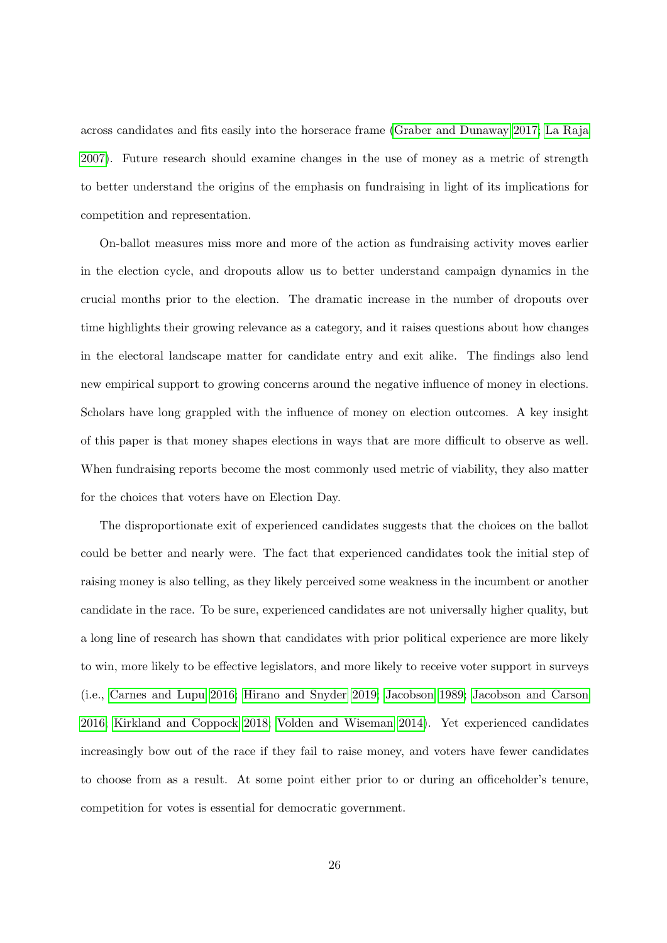across candidates and fits easily into the horserace frame [\(Graber and Dunaway 2017;](#page-29-15) [La Raja](#page-30-10) [2007\)](#page-30-10). Future research should examine changes in the use of money as a metric of strength to better understand the origins of the emphasis on fundraising in light of its implications for competition and representation.

On-ballot measures miss more and more of the action as fundraising activity moves earlier in the election cycle, and dropouts allow us to better understand campaign dynamics in the crucial months prior to the election. The dramatic increase in the number of dropouts over time highlights their growing relevance as a category, and it raises questions about how changes in the electoral landscape matter for candidate entry and exit alike. The findings also lend new empirical support to growing concerns around the negative influence of money in elections. Scholars have long grappled with the influence of money on election outcomes. A key insight of this paper is that money shapes elections in ways that are more difficult to observe as well. When fundraising reports become the most commonly used metric of viability, they also matter for the choices that voters have on Election Day.

The disproportionate exit of experienced candidates suggests that the choices on the ballot could be better and nearly were. The fact that experienced candidates took the initial step of raising money is also telling, as they likely perceived some weakness in the incumbent or another candidate in the race. To be sure, experienced candidates are not universally higher quality, but a long line of research has shown that candidates with prior political experience are more likely to win, more likely to be effective legislators, and more likely to receive voter support in surveys (i.e., [Carnes and Lupu 2016;](#page-28-3) [Hirano and Snyder 2019;](#page-29-4) [Jacobson 1989;](#page-29-3) [Jacobson and Carson](#page-29-16) [2016;](#page-29-16) [Kirkland and Coppock 2018;](#page-30-4) [Volden and Wiseman 2014\)](#page-31-0). Yet experienced candidates increasingly bow out of the race if they fail to raise money, and voters have fewer candidates to choose from as a result. At some point either prior to or during an officeholder's tenure, competition for votes is essential for democratic government.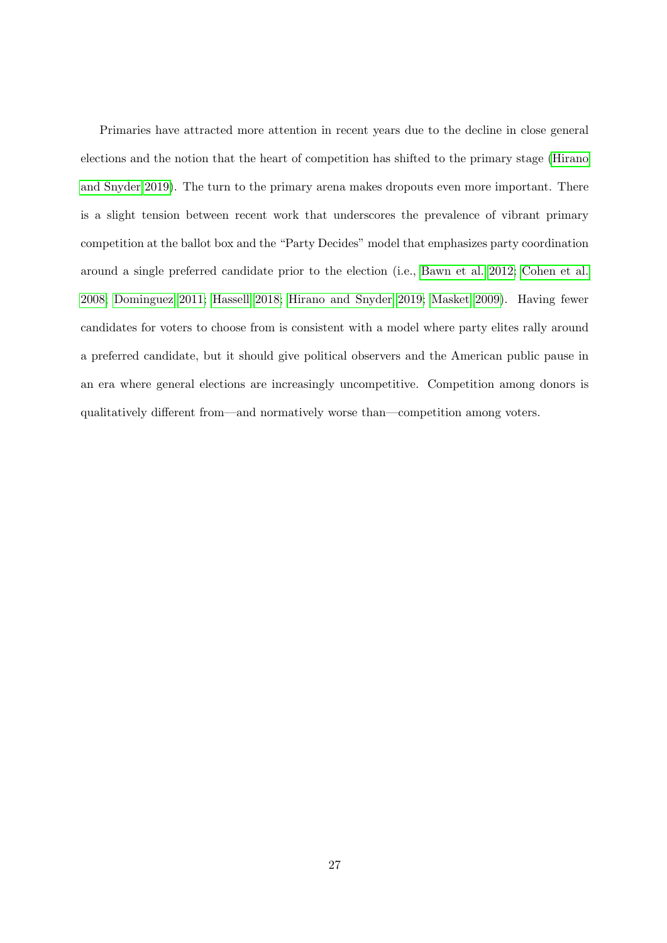Primaries have attracted more attention in recent years due to the decline in close general elections and the notion that the heart of competition has shifted to the primary stage [\(Hirano](#page-29-4) [and Snyder 2019\)](#page-29-4). The turn to the primary arena makes dropouts even more important. There is a slight tension between recent work that underscores the prevalence of vibrant primary competition at the ballot box and the "Party Decides" model that emphasizes party coordination around a single preferred candidate prior to the election (i.e., [Bawn et al. 2012;](#page-28-7) [Cohen et al.](#page-28-8) [2008;](#page-28-8) [Dominguez 2011;](#page-29-5) [Hassell 2018;](#page-29-6) [Hirano and Snyder 2019;](#page-29-4) [Masket 2009\)](#page-30-5). Having fewer candidates for voters to choose from is consistent with a model where party elites rally around a preferred candidate, but it should give political observers and the American public pause in an era where general elections are increasingly uncompetitive. Competition among donors is qualitatively different from—and normatively worse than—competition among voters.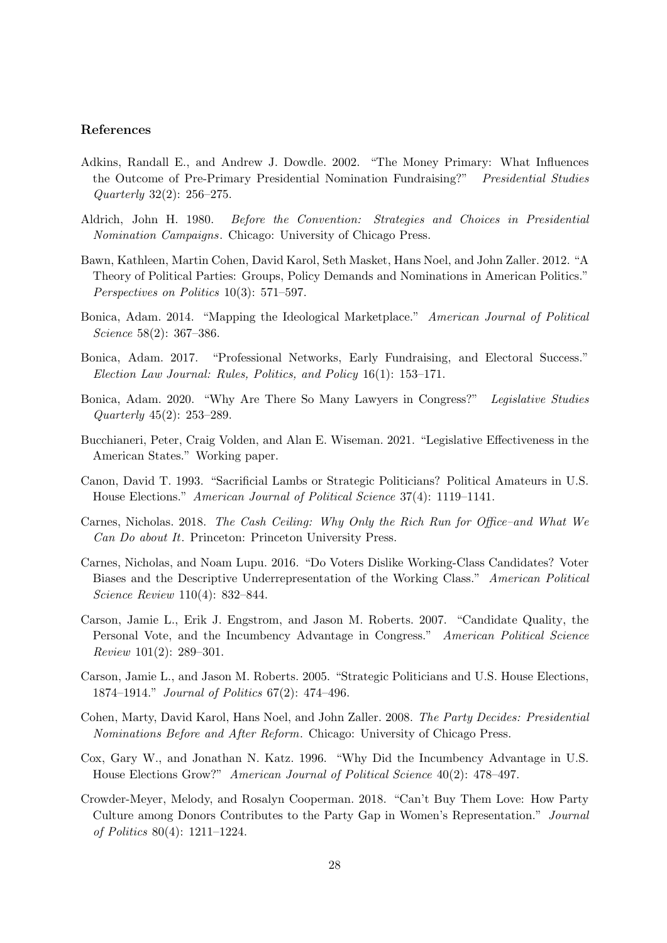### References

- <span id="page-28-10"></span>Adkins, Randall E., and Andrew J. Dowdle. 2002. "The Money Primary: What Influences the Outcome of Pre-Primary Presidential Nomination Fundraising?" Presidential Studies Quarterly 32(2): 256–275.
- <span id="page-28-11"></span>Aldrich, John H. 1980. Before the Convention: Strategies and Choices in Presidential Nomination Campaigns. Chicago: University of Chicago Press.
- <span id="page-28-7"></span>Bawn, Kathleen, Martin Cohen, David Karol, Seth Masket, Hans Noel, and John Zaller. 2012. "A Theory of Political Parties: Groups, Policy Demands and Nominations in American Politics." Perspectives on Politics 10(3): 571–597.
- <span id="page-28-13"></span>Bonica, Adam. 2014. "Mapping the Ideological Marketplace." American Journal of Political Science 58(2): 367–386.
- <span id="page-28-9"></span>Bonica, Adam. 2017. "Professional Networks, Early Fundraising, and Electoral Success." Election Law Journal: Rules, Politics, and Policy 16(1): 153–171.
- <span id="page-28-1"></span>Bonica, Adam. 2020. "Why Are There So Many Lawyers in Congress?" Legislative Studies Quarterly 45(2): 253–289.
- <span id="page-28-0"></span>Bucchianeri, Peter, Craig Volden, and Alan E. Wiseman. 2021. "Legislative Effectiveness in the American States." Working paper.
- <span id="page-28-12"></span>Canon, David T. 1993. "Sacrificial Lambs or Strategic Politicians? Political Amateurs in U.S. House Elections." American Journal of Political Science 37(4): 1119–1141.
- <span id="page-28-2"></span>Carnes, Nicholas. 2018. The Cash Ceiling: Why Only the Rich Run for Office–and What We Can Do about It. Princeton: Princeton University Press.
- <span id="page-28-3"></span>Carnes, Nicholas, and Noam Lupu. 2016. "Do Voters Dislike Working-Class Candidates? Voter Biases and the Descriptive Underrepresentation of the Working Class." American Political Science Review 110(4): 832–844.
- <span id="page-28-5"></span>Carson, Jamie L., Erik J. Engstrom, and Jason M. Roberts. 2007. "Candidate Quality, the Personal Vote, and the Incumbency Advantage in Congress." American Political Science Review 101(2): 289–301.
- <span id="page-28-4"></span>Carson, Jamie L., and Jason M. Roberts. 2005. "Strategic Politicians and U.S. House Elections, 1874–1914." Journal of Politics 67(2): 474–496.
- <span id="page-28-8"></span>Cohen, Marty, David Karol, Hans Noel, and John Zaller. 2008. The Party Decides: Presidential Nominations Before and After Reform. Chicago: University of Chicago Press.
- <span id="page-28-6"></span>Cox, Gary W., and Jonathan N. Katz. 1996. "Why Did the Incumbency Advantage in U.S. House Elections Grow?" American Journal of Political Science 40(2): 478–497.
- <span id="page-28-14"></span>Crowder-Meyer, Melody, and Rosalyn Cooperman. 2018. "Can't Buy Them Love: How Party Culture among Donors Contributes to the Party Gap in Women's Representation." Journal of Politics 80(4): 1211–1224.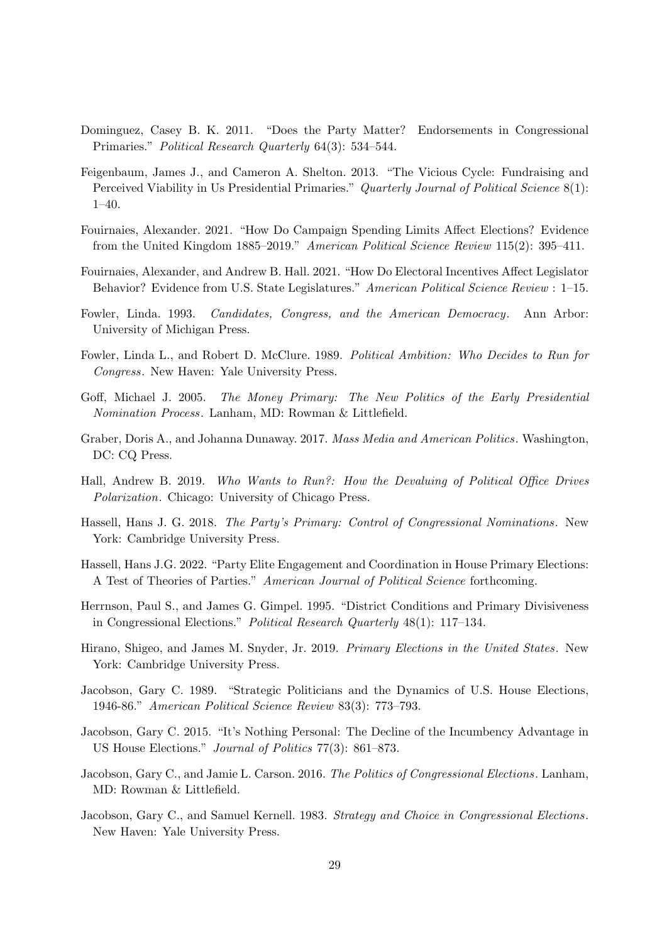- <span id="page-29-5"></span>Dominguez, Casey B. K. 2011. "Does the Party Matter? Endorsements in Congressional Primaries." Political Research Quarterly 64(3): 534–544.
- <span id="page-29-8"></span>Feigenbaum, James J., and Cameron A. Shelton. 2013. "The Vicious Cycle: Fundraising and Perceived Viability in Us Presidential Primaries." Quarterly Journal of Political Science 8(1): 1–40.
- <span id="page-29-0"></span>Fouirnaies, Alexander. 2021. "How Do Campaign Spending Limits Affect Elections? Evidence from the United Kingdom 1885–2019." American Political Science Review 115(2): 395–411.
- <span id="page-29-14"></span>Fouirnaies, Alexander, and Andrew B. Hall. 2021. "How Do Electoral Incentives Affect Legislator Behavior? Evidence from U.S. State Legislatures." American Political Science Review : 1-15.
- <span id="page-29-10"></span>Fowler, Linda. 1993. Candidates, Congress, and the American Democracy. Ann Arbor: University of Michigan Press.
- <span id="page-29-7"></span>Fowler, Linda L., and Robert D. McClure. 1989. Political Ambition: Who Decides to Run for Congress. New Haven: Yale University Press.
- <span id="page-29-9"></span>Goff, Michael J. 2005. The Money Primary: The New Politics of the Early Presidential Nomination Process. Lanham, MD: Rowman & Littlefield.
- <span id="page-29-15"></span>Graber, Doris A., and Johanna Dunaway. 2017. Mass Media and American Politics. Washington, DC: CQ Press.
- <span id="page-29-1"></span>Hall, Andrew B. 2019. Who Wants to Run?: How the Devaluing of Political Office Drives Polarization. Chicago: University of Chicago Press.
- <span id="page-29-6"></span>Hassell, Hans J. G. 2018. The Party's Primary: Control of Congressional Nominations . New York: Cambridge University Press.
- <span id="page-29-13"></span>Hassell, Hans J.G. 2022. "Party Elite Engagement and Coordination in House Primary Elections: A Test of Theories of Parties." American Journal of Political Science forthcoming.
- <span id="page-29-12"></span>Herrnson, Paul S., and James G. Gimpel. 1995. "District Conditions and Primary Divisiveness in Congressional Elections." Political Research Quarterly 48(1): 117–134.
- <span id="page-29-4"></span>Hirano, Shigeo, and James M. Snyder, Jr. 2019. Primary Elections in the United States. New York: Cambridge University Press.
- <span id="page-29-3"></span>Jacobson, Gary C. 1989. "Strategic Politicians and the Dynamics of U.S. House Elections, 1946-86." American Political Science Review 83(3): 773–793.
- <span id="page-29-11"></span>Jacobson, Gary C. 2015. "It's Nothing Personal: The Decline of the Incumbency Advantage in US House Elections." Journal of Politics 77(3): 861–873.
- <span id="page-29-16"></span>Jacobson, Gary C., and Jamie L. Carson. 2016. The Politics of Congressional Elections. Lanham, MD: Rowman & Littlefield.
- <span id="page-29-2"></span>Jacobson, Gary C., and Samuel Kernell. 1983. Strategy and Choice in Congressional Elections. New Haven: Yale University Press.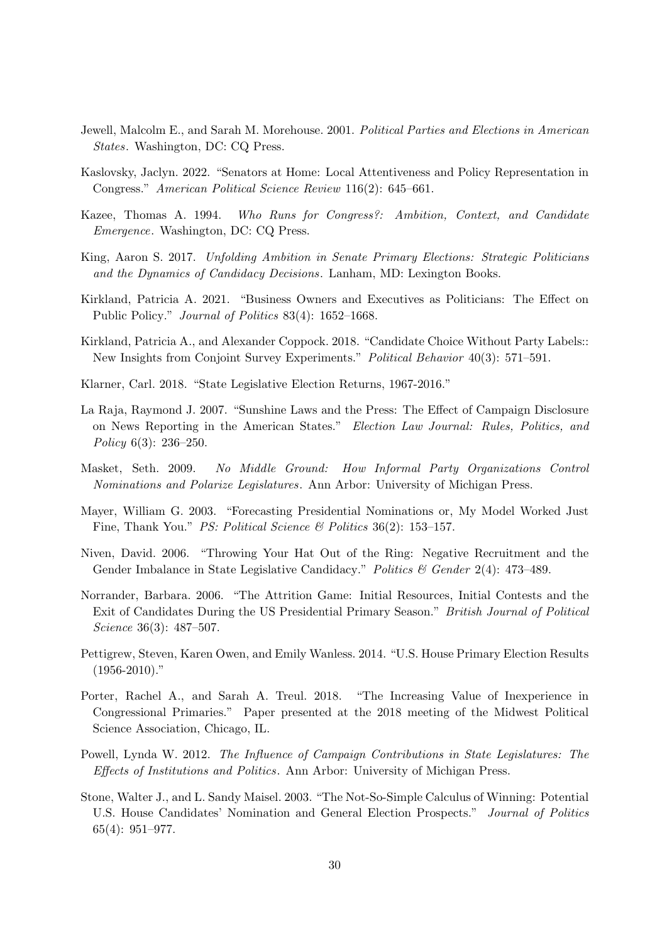- <span id="page-30-12"></span>Jewell, Malcolm E., and Sarah M. Morehouse. 2001. Political Parties and Elections in American States. Washington, DC: CQ Press.
- <span id="page-30-0"></span>Kaslovsky, Jaclyn. 2022. "Senators at Home: Local Attentiveness and Policy Representation in Congress." American Political Science Review 116(2): 645–661.
- <span id="page-30-6"></span>Kazee, Thomas A. 1994. Who Runs for Congress?: Ambition, Context, and Candidate Emergence. Washington, DC: CQ Press.
- <span id="page-30-7"></span>King, Aaron S. 2017. Unfolding Ambition in Senate Primary Elections: Strategic Politicians and the Dynamics of Candidacy Decisions. Lanham, MD: Lexington Books.
- <span id="page-30-1"></span>Kirkland, Patricia A. 2021. "Business Owners and Executives as Politicians: The Effect on Public Policy." Journal of Politics 83(4): 1652–1668.
- <span id="page-30-4"></span>Kirkland, Patricia A., and Alexander Coppock. 2018. "Candidate Choice Without Party Labels:: New Insights from Conjoint Survey Experiments." Political Behavior 40(3): 571–591.
- <span id="page-30-15"></span>Klarner, Carl. 2018. "State Legislative Election Returns, 1967-2016."
- <span id="page-30-10"></span>La Raja, Raymond J. 2007. "Sunshine Laws and the Press: The Effect of Campaign Disclosure on News Reporting in the American States." Election Law Journal: Rules, Politics, and Policy 6(3): 236–250.
- <span id="page-30-5"></span>Masket, Seth. 2009. No Middle Ground: How Informal Party Organizations Control Nominations and Polarize Legislatures. Ann Arbor: University of Michigan Press.
- <span id="page-30-8"></span>Mayer, William G. 2003. "Forecasting Presidential Nominations or, My Model Worked Just Fine, Thank You." PS: Political Science & Politics 36(2): 153-157.
- <span id="page-30-14"></span>Niven, David. 2006. "Throwing Your Hat Out of the Ring: Negative Recruitment and the Gender Imbalance in State Legislative Candidacy." Politics & Gender 2(4): 473-489.
- <span id="page-30-9"></span>Norrander, Barbara. 2006. "The Attrition Game: Initial Resources, Initial Contests and the Exit of Candidates During the US Presidential Primary Season." British Journal of Political Science 36(3): 487–507.
- <span id="page-30-11"></span>Pettigrew, Steven, Karen Owen, and Emily Wanless. 2014. "U.S. House Primary Election Results  $(1956-2010)$ ."
- <span id="page-30-3"></span>Porter, Rachel A., and Sarah A. Treul. 2018. "The Increasing Value of Inexperience in Congressional Primaries." Paper presented at the 2018 meeting of the Midwest Political Science Association, Chicago, IL.
- <span id="page-30-2"></span>Powell, Lynda W. 2012. The Influence of Campaign Contributions in State Legislatures: The Effects of Institutions and Politics. Ann Arbor: University of Michigan Press.
- <span id="page-30-13"></span>Stone, Walter J., and L. Sandy Maisel. 2003. "The Not-So-Simple Calculus of Winning: Potential U.S. House Candidates' Nomination and General Election Prospects." Journal of Politics 65(4): 951–977.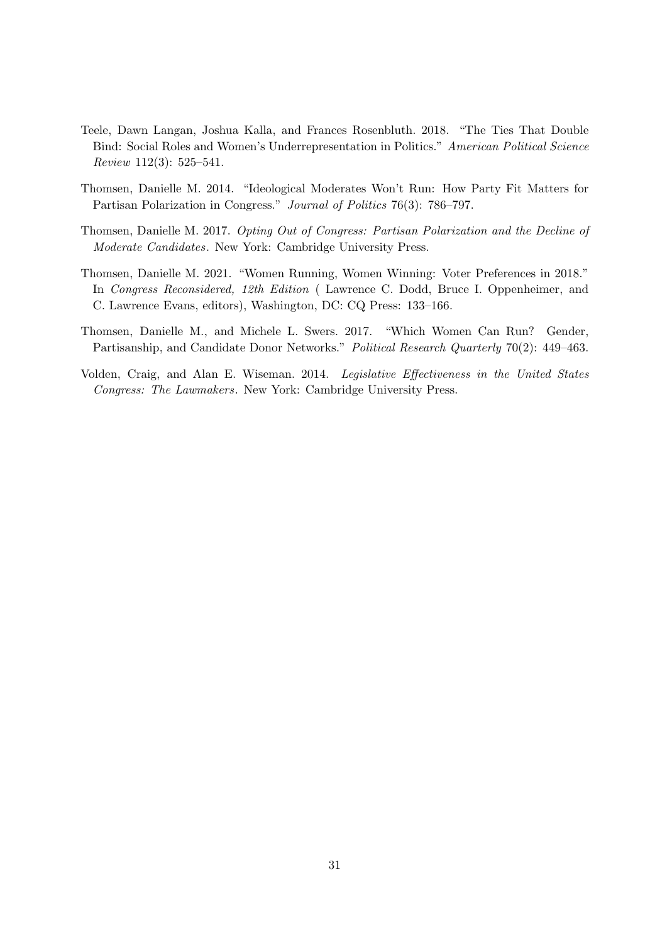- <span id="page-31-3"></span>Teele, Dawn Langan, Joshua Kalla, and Frances Rosenbluth. 2018. "The Ties That Double Bind: Social Roles and Women's Underrepresentation in Politics." American Political Science Review 112(3): 525–541.
- <span id="page-31-1"></span>Thomsen, Danielle M. 2014. "Ideological Moderates Won't Run: How Party Fit Matters for Partisan Polarization in Congress." Journal of Politics 76(3): 786–797.
- <span id="page-31-2"></span>Thomsen, Danielle M. 2017. Opting Out of Congress: Partisan Polarization and the Decline of Moderate Candidates. New York: Cambridge University Press.
- <span id="page-31-4"></span>Thomsen, Danielle M. 2021. "Women Running, Women Winning: Voter Preferences in 2018." In Congress Reconsidered, 12th Edition ( Lawrence C. Dodd, Bruce I. Oppenheimer, and C. Lawrence Evans, editors), Washington, DC: CQ Press: 133–166.
- <span id="page-31-5"></span>Thomsen, Danielle M., and Michele L. Swers. 2017. "Which Women Can Run? Gender, Partisanship, and Candidate Donor Networks." Political Research Quarterly 70(2): 449–463.
- <span id="page-31-0"></span>Volden, Craig, and Alan E. Wiseman. 2014. Legislative Effectiveness in the United States Congress: The Lawmakers. New York: Cambridge University Press.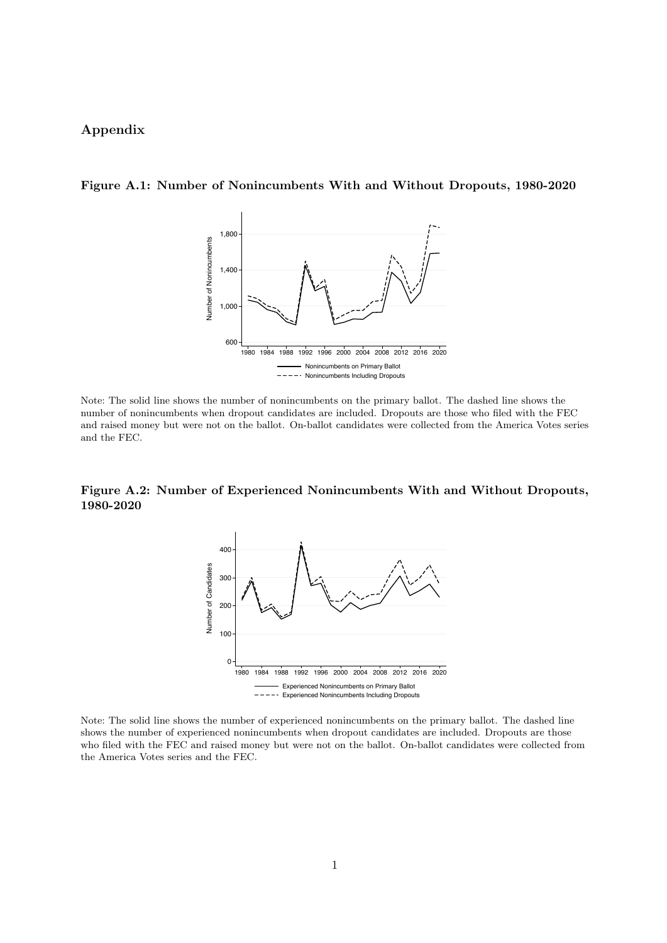# Appendix

### <span id="page-32-0"></span>Figure A.1: Number of Nonincumbents With and Without Dropouts, 1980-2020



Note: The solid line shows the number of nonincumbents on the primary ballot. The dashed line shows the number of nonincumbents when dropout candidates are included. Dropouts are those who filed with the FEC and raised money but were not on the ballot. On-ballot candidates were collected from the America Votes series and the FEC.

### <span id="page-32-1"></span>Figure A.2: Number of Experienced Nonincumbents With and Without Dropouts, 1980-2020



Note: The solid line shows the number of experienced nonincumbents on the primary ballot. The dashed line shows the number of experienced nonincumbents when dropout candidates are included. Dropouts are those who filed with the FEC and raised money but were not on the ballot. On-ballot candidates were collected from the America Votes series and the FEC.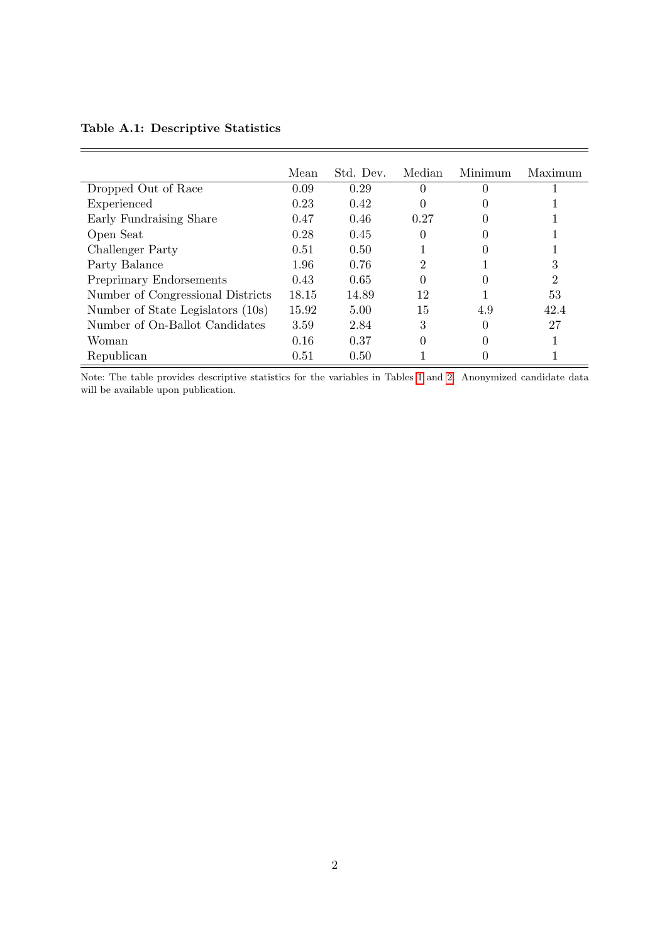# <span id="page-33-0"></span>Table A.1: Descriptive Statistics

 $\equiv$ 

|                                   | Mean  | Std. Dev. | Median         | Minimum      | Maximum |
|-----------------------------------|-------|-----------|----------------|--------------|---------|
| Dropped Out of Race               | 0.09  | 0.29      | $\Omega$       | 0            |         |
| Experienced                       | 0.23  | 0.42      | 0              |              |         |
| Early Fundraising Share           | 0.47  | 0.46      | 0.27           | 0            |         |
| Open Seat                         | 0.28  | 0.45      | 0              |              |         |
| Challenger Party                  | 0.51  | 0.50      |                |              |         |
| Party Balance                     | 1.96  | 0.76      | $\overline{2}$ |              | 3       |
| Preprimary Endorsements           | 0.43  | 0.65      | 0              | 0            | 2       |
| Number of Congressional Districts | 18.15 | 14.89     | 12             |              | 53      |
| Number of State Legislators (10s) | 15.92 | 5.00      | 15             | 4.9          | 42.4    |
| Number of On-Ballot Candidates    | 3.59  | 2.84      | 3              | 0            | 27      |
| Woman                             | 0.16  | 0.37      | 0              | $\mathbf{0}$ |         |
| Republican                        | 0.51  | 0.50      |                |              |         |

Note: The table provides descriptive statistics for the variables in Tables [1](#page-14-0) and [2.](#page-16-0) Anonymized candidate data will be available upon publication.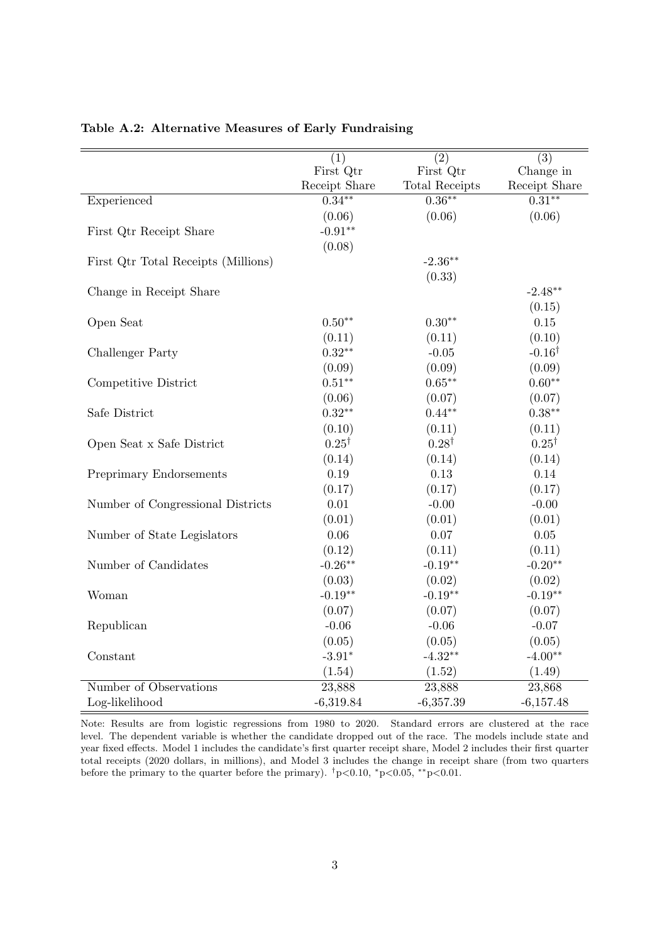|                                     | $\overline{(1)}$           | $\overline{(2)}$            | $\overline{(3)}$           |
|-------------------------------------|----------------------------|-----------------------------|----------------------------|
|                                     | First Qtr                  | First Qtr                   | Change in                  |
|                                     | Receipt Share<br>$0.34***$ | Total Receipts<br>$0.36***$ | Receipt Share<br>$0.31***$ |
| Experienced                         |                            |                             |                            |
|                                     | (0.06)                     | (0.06)                      | (0.06)                     |
| First Qtr Receipt Share             | $-0.91**$                  |                             |                            |
|                                     | (0.08)                     |                             |                            |
| First Qtr Total Receipts (Millions) |                            | $-2.36**$                   |                            |
|                                     |                            | (0.33)                      |                            |
| Change in Receipt Share             |                            |                             | $-2.48**$                  |
|                                     |                            |                             | (0.15)                     |
| Open Seat                           | $0.50**$                   | $0.30**$                    | $0.15\,$                   |
|                                     | (0.11)                     | (0.11)                      | (0.10)                     |
| Challenger Party                    | $0.32**$                   | $-0.05$                     | $-0.16^{\dagger}$          |
|                                     | (0.09)                     | (0.09)                      | (0.09)                     |
| Competitive District                | $0.51**$                   | $0.65***$                   | $0.60**$                   |
|                                     | (0.06)                     | (0.07)                      | (0.07)                     |
| Safe District                       | $0.32**$                   | $0.44**$                    | $0.38**$                   |
|                                     | (0.10)                     | (0.11)                      | (0.11)                     |
| Open Seat x Safe District           | $0.25^{\dagger}$           | $0.28^{\dagger}$            | $0.25^{\dagger}$           |
|                                     | (0.14)                     | (0.14)                      | (0.14)                     |
| Preprimary Endorsements             | 0.19                       | 0.13                        | 0.14                       |
|                                     | (0.17)                     | (0.17)                      | (0.17)                     |
| Number of Congressional Districts   | 0.01                       | $-0.00$                     | $-0.00$                    |
|                                     | (0.01)                     | (0.01)                      | (0.01)                     |
| Number of State Legislators         | 0.06                       | 0.07                        | $0.05\,$                   |
|                                     | (0.12)                     | (0.11)                      | (0.11)                     |
| Number of Candidates                | $-0.26**$                  | $-0.19**$                   | $-0.20**$                  |
|                                     | (0.03)                     | (0.02)                      | (0.02)                     |
| Woman                               | $-0.19**$                  | $-0.19**$                   | $-0.19**$                  |
|                                     | (0.07)                     | (0.07)                      | (0.07)                     |
| Republican                          | $-0.06$                    | $-0.06$                     | $-0.07$                    |
|                                     | (0.05)                     | (0.05)                      | (0.05)                     |
| Constant                            | $-3.91*$                   | $-4.32**$                   | $-4.00**$                  |
|                                     | (1.54)                     | (1.52)                      | (1.49)                     |
| Number of Observations              | 23,888                     | 23,888                      | 23,868                     |
| Log-likelihood                      | $-6,319.84$                | $-6,357.39$                 | $-6,157.48$                |

### <span id="page-34-0"></span>Table A.2: Alternative Measures of Early Fundraising

Note: Results are from logistic regressions from 1980 to 2020. Standard errors are clustered at the race level. The dependent variable is whether the candidate dropped out of the race. The models include state and year fixed effects. Model 1 includes the candidate's first quarter receipt share, Model 2 includes their first quarter total receipts (2020 dollars, in millions), and Model 3 includes the change in receipt share (from two quarters before the primary to the quarter before the primary).  $\frac{1}{7}p<0.10$ ,  $\frac{1}{7}p<0.05$ ,  $\frac{*p}{0.01}$ .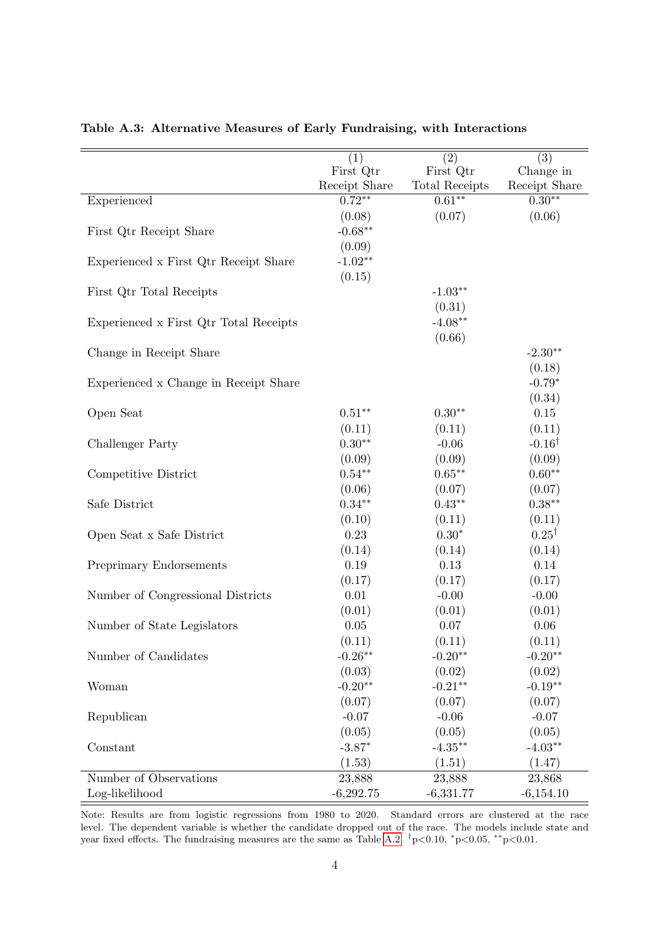|                                        | (1)           | (2)                   | (3)               |
|----------------------------------------|---------------|-----------------------|-------------------|
|                                        | First Qtr     | First Qtr             | Change in         |
|                                        | Receipt Share | <b>Total Receipts</b> | Receipt Share     |
| Experienced                            | $0.72**$      | $0.61**$              | $0.30**$          |
|                                        | (0.08)        | (0.07)                | (0.06)            |
| First Qtr Receipt Share                | $-0.68**$     |                       |                   |
|                                        | (0.09)        |                       |                   |
| Experienced x First Qtr Receipt Share  | $-1.02**$     |                       |                   |
|                                        | (0.15)        |                       |                   |
| First Qtr Total Receipts               |               | $-1.03**$             |                   |
|                                        |               | (0.31)                |                   |
| Experienced x First Qtr Total Receipts |               | $-4.08**$             |                   |
|                                        |               | (0.66)                |                   |
| Change in Receipt Share                |               |                       | $-2.30**$         |
|                                        |               |                       | (0.18)            |
| Experienced x Change in Receipt Share  |               |                       | $-0.79*$          |
|                                        |               |                       | (0.34)            |
| Open Seat                              | $0.51***$     | $0.30**$              | $0.15\,$          |
|                                        | (0.11)        | (0.11)                | (0.11)            |
| Challenger Party                       | $0.30**$      | $-0.06$               | $-0.16^{\dagger}$ |
|                                        | (0.09)        | (0.09)                | (0.09)            |
| Competitive District                   | $0.54**$      | $0.65***$             | $0.60**$          |
|                                        | (0.06)        | (0.07)                | (0.07)            |
| Safe District                          | $0.34***$     | $0.43**$              | $0.38***$         |
|                                        | (0.10)        | (0.11)                | (0.11)            |
| Open Seat x Safe District              | 0.23          | $0.30^{\ast}$         | $0.25^{\dagger}$  |
|                                        | (0.14)        | (0.14)                | (0.14)            |
| Preprimary Endorsements                | 0.19          | 0.13                  | 0.14              |
|                                        | (0.17)        | (0.17)                | (0.17)            |
| Number of Congressional Districts      | $0.01\,$      | $-0.00$               | $-0.00$           |
|                                        | (0.01)        | (0.01)                | (0.01)            |
| Number of State Legislators            | 0.05          | 0.07                  | 0.06              |
|                                        | (0.11)        | (0.11)                | (0.11)            |
| Number of Candidates                   | $-0.26**$     | $-0.20**$             | $-0.20**$         |
|                                        | (0.03)        | (0.02)                | (0.02)            |
| Woman                                  | $-0.20**$     | $-0.21**$             | $-0.19**$         |
|                                        | (0.07)        | (0.07)                | (0.07)            |
| Republican                             | $-0.07$       | $-0.06$               | $-0.07$           |
|                                        | (0.05)        | (0.05)                | (0.05)            |
| Constant                               | $-3.87*$      | $-4.35**$             | $-4.03**$         |
|                                        | (1.53)        | (1.51)                | (1.47)            |
| Number of Observations                 | 23,888        | 23,888                | 23,868            |
| Log-likelihood                         | $-6,292.75$   | $-6,331.77$           | $-6,154.10$       |

<span id="page-35-0"></span>Table A.3: Alternative Measures of Early Fundraising, with Interactions

Note: Results are from logistic regressions from 1980 to 2020. Standard errors are clustered at the race level. The dependent variable is whether the candidate dropped out of the race. The models include state and year fixed effects. The fundraising measures are the same as Table [A.2.](#page-34-0)  $\frac{1}{7}p<0.10$ ,  $\frac{k}{p}<0.05$ ,  $\frac{k}{p}<0.01$ .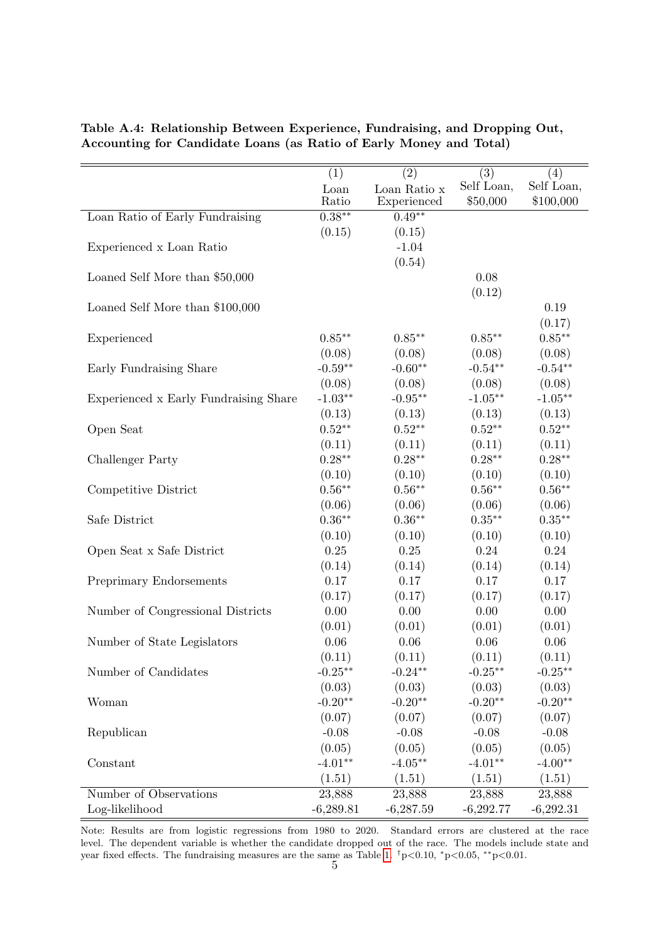| (1)               | (2)                                                                                                                                                                        | $\overline{(3)}$                                                                                                                                                                                                                | (4)                                                                                                                                                                                                                           |
|-------------------|----------------------------------------------------------------------------------------------------------------------------------------------------------------------------|---------------------------------------------------------------------------------------------------------------------------------------------------------------------------------------------------------------------------------|-------------------------------------------------------------------------------------------------------------------------------------------------------------------------------------------------------------------------------|
| Loan              | Loan Ratio x                                                                                                                                                               |                                                                                                                                                                                                                                 | Self Loan,                                                                                                                                                                                                                    |
|                   |                                                                                                                                                                            |                                                                                                                                                                                                                                 | \$100,000                                                                                                                                                                                                                     |
|                   |                                                                                                                                                                            |                                                                                                                                                                                                                                 |                                                                                                                                                                                                                               |
|                   |                                                                                                                                                                            |                                                                                                                                                                                                                                 |                                                                                                                                                                                                                               |
|                   |                                                                                                                                                                            |                                                                                                                                                                                                                                 |                                                                                                                                                                                                                               |
|                   |                                                                                                                                                                            |                                                                                                                                                                                                                                 |                                                                                                                                                                                                                               |
|                   |                                                                                                                                                                            |                                                                                                                                                                                                                                 |                                                                                                                                                                                                                               |
|                   |                                                                                                                                                                            |                                                                                                                                                                                                                                 |                                                                                                                                                                                                                               |
|                   |                                                                                                                                                                            |                                                                                                                                                                                                                                 | 0.19                                                                                                                                                                                                                          |
|                   |                                                                                                                                                                            |                                                                                                                                                                                                                                 | (0.17)                                                                                                                                                                                                                        |
| $0.85***$         | $0.85***$                                                                                                                                                                  |                                                                                                                                                                                                                                 | $0.85***$                                                                                                                                                                                                                     |
| (0.08)            | (0.08)                                                                                                                                                                     | (0.08)                                                                                                                                                                                                                          | (0.08)                                                                                                                                                                                                                        |
|                   |                                                                                                                                                                            |                                                                                                                                                                                                                                 | $-0.54**$                                                                                                                                                                                                                     |
| (0.08)            | (0.08)                                                                                                                                                                     | (0.08)                                                                                                                                                                                                                          | (0.08)                                                                                                                                                                                                                        |
| $-1.03**$         | $-0.95**$                                                                                                                                                                  | $-1.05***$                                                                                                                                                                                                                      | $-1.05***$                                                                                                                                                                                                                    |
| (0.13)            | (0.13)                                                                                                                                                                     | (0.13)                                                                                                                                                                                                                          | (0.13)                                                                                                                                                                                                                        |
| $0.52**$          | $0.52***$                                                                                                                                                                  | $0.52**$                                                                                                                                                                                                                        | $0.52**$                                                                                                                                                                                                                      |
| (0.11)            | (0.11)                                                                                                                                                                     | (0.11)                                                                                                                                                                                                                          | (0.11)                                                                                                                                                                                                                        |
| $0.28**$          | $0.28**$                                                                                                                                                                   | $0.28**$                                                                                                                                                                                                                        | $0.28**$                                                                                                                                                                                                                      |
| (0.10)            | (0.10)                                                                                                                                                                     | (0.10)                                                                                                                                                                                                                          | (0.10)                                                                                                                                                                                                                        |
| $0.56**$          | $0.56**$                                                                                                                                                                   | $0.56**$                                                                                                                                                                                                                        | $0.56**$                                                                                                                                                                                                                      |
| (0.06)            | (0.06)                                                                                                                                                                     | (0.06)                                                                                                                                                                                                                          | (0.06)                                                                                                                                                                                                                        |
| $0.36^{\ast\ast}$ | $0.36**$                                                                                                                                                                   | $0.35***$                                                                                                                                                                                                                       | $0.35***$                                                                                                                                                                                                                     |
| (0.10)            | (0.10)                                                                                                                                                                     | (0.10)                                                                                                                                                                                                                          | (0.10)                                                                                                                                                                                                                        |
| $0.25\,$          | $0.25\,$                                                                                                                                                                   | 0.24                                                                                                                                                                                                                            | 0.24                                                                                                                                                                                                                          |
|                   |                                                                                                                                                                            |                                                                                                                                                                                                                                 | (0.14)                                                                                                                                                                                                                        |
| 0.17              | 0.17                                                                                                                                                                       | 0.17                                                                                                                                                                                                                            | 0.17                                                                                                                                                                                                                          |
|                   |                                                                                                                                                                            |                                                                                                                                                                                                                                 | (0.17)                                                                                                                                                                                                                        |
| 0.00              | 0.00                                                                                                                                                                       | 0.00                                                                                                                                                                                                                            | 0.00                                                                                                                                                                                                                          |
|                   |                                                                                                                                                                            |                                                                                                                                                                                                                                 | (0.01)                                                                                                                                                                                                                        |
| $0.06\,$          | $0.06\,$                                                                                                                                                                   | 0.06                                                                                                                                                                                                                            | 0.06                                                                                                                                                                                                                          |
|                   |                                                                                                                                                                            |                                                                                                                                                                                                                                 | (0.11)                                                                                                                                                                                                                        |
| $-0.25**$         |                                                                                                                                                                            |                                                                                                                                                                                                                                 | $-0.25**$                                                                                                                                                                                                                     |
|                   |                                                                                                                                                                            |                                                                                                                                                                                                                                 | (0.03)                                                                                                                                                                                                                        |
| $-0.20**$         |                                                                                                                                                                            |                                                                                                                                                                                                                                 | $-0.20**$                                                                                                                                                                                                                     |
|                   |                                                                                                                                                                            |                                                                                                                                                                                                                                 | (0.07)                                                                                                                                                                                                                        |
|                   |                                                                                                                                                                            |                                                                                                                                                                                                                                 | $-0.08$                                                                                                                                                                                                                       |
|                   |                                                                                                                                                                            |                                                                                                                                                                                                                                 | (0.05)                                                                                                                                                                                                                        |
|                   |                                                                                                                                                                            |                                                                                                                                                                                                                                 | $-4.00**$                                                                                                                                                                                                                     |
|                   |                                                                                                                                                                            |                                                                                                                                                                                                                                 | (1.51)                                                                                                                                                                                                                        |
|                   |                                                                                                                                                                            |                                                                                                                                                                                                                                 | 23,888                                                                                                                                                                                                                        |
|                   |                                                                                                                                                                            |                                                                                                                                                                                                                                 | $-6,292.31$                                                                                                                                                                                                                   |
|                   | Ratio<br>$0.38***$<br>(0.15)<br>$-0.59**$<br>(0.14)<br>(0.17)<br>(0.01)<br>(0.11)<br>(0.03)<br>(0.07)<br>$-0.08$<br>(0.05)<br>$-4.01**$<br>(1.51)<br>23,888<br>$-6,289.81$ | Experienced<br>$0.49**$<br>(0.15)<br>$-1.04$<br>(0.54)<br>$-0.60**$<br>(0.14)<br>(0.17)<br>(0.01)<br>(0.11)<br>$-0.24**$<br>(0.03)<br>$-0.20**$<br>(0.07)<br>$-0.08$<br>(0.05)<br>$-4.05***$<br>(1.51)<br>23,888<br>$-6,287.59$ | Self Loan,<br>\$50,000<br>0.08<br>(0.12)<br>$0.85***$<br>$-0.54**$<br>(0.14)<br>(0.17)<br>(0.01)<br>(0.11)<br>$-0.25**$<br>(0.03)<br>$-0.20**$<br>(0.07)<br>$-0.08$<br>(0.05)<br>$-4.01**$<br>(1.51)<br>23,888<br>$-6,292.77$ |

<span id="page-36-0"></span>Table A.4: Relationship Between Experience, Fundraising, and Dropping Out, Accounting for Candidate Loans (as Ratio of Early Money and Total)

Note: Results are from logistic regressions from 1980 to 2020. Standard errors are clustered at the race level. The dependent variable is whether the candidate dropped out of the race. The models include state and year fixed effects. The fundraising measures are the same as Table [1.](#page-14-0)  $\frac{\dagger}{\text{p}} < 0.10$ ,  $\frac{\dagger}{\text{p}} < 0.05$ , \*\* $\text{p} < 0.01$ .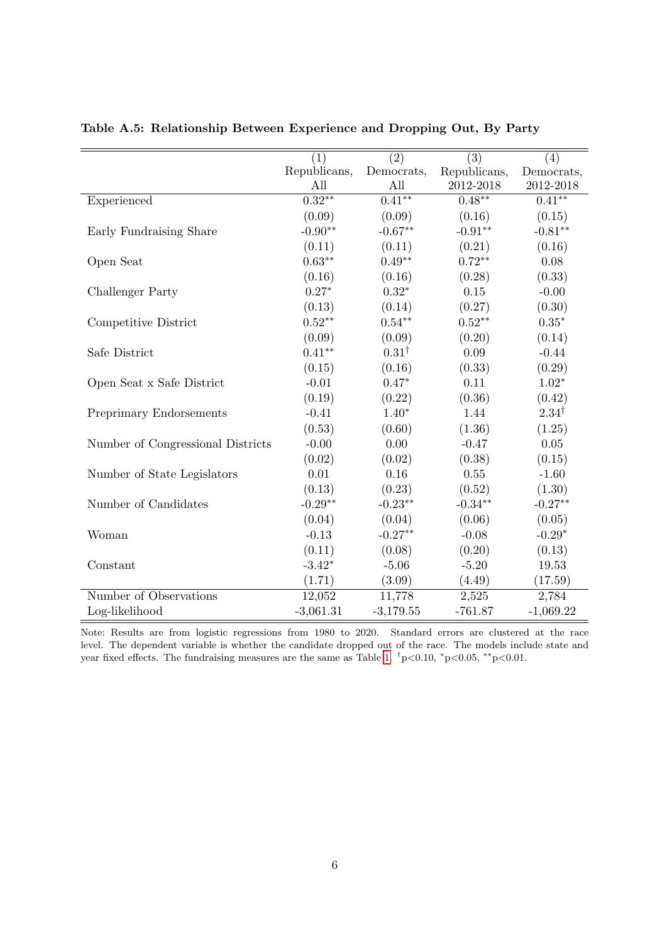|                                   | (1)          | $\overline{(2)}$       | $\overline{(3)}$ | (4)              |
|-----------------------------------|--------------|------------------------|------------------|------------------|
|                                   | Republicans, | Democrats,             | Republicans,     | Democrats,       |
|                                   | All          | All                    | 2012-2018        | 2012-2018        |
| Experienced                       | $0.32***$    | $\overline{0.41^{**}}$ | $0.48***$        | $0.41***$        |
|                                   | (0.09)       | (0.09)                 | (0.16)           | (0.15)           |
| Early Fundraising Share           | $-0.90**$    | $-0.67**$              | $-0.91**$        | $-0.81**$        |
|                                   | (0.11)       | (0.11)                 | (0.21)           | (0.16)           |
| Open Seat                         | $0.63**$     | $0.49**$               | $0.72**$         | 0.08             |
|                                   | (0.16)       | (0.16)                 | (0.28)           | (0.33)           |
| Challenger Party                  | $0.27*$      | $0.32*$                | 0.15             | $-0.00$          |
|                                   | (0.13)       | (0.14)                 | (0.27)           | (0.30)           |
| Competitive District              | $0.52**$     | $0.54**$               | $0.52**$         | $0.35^{\ast}$    |
|                                   | (0.09)       | (0.09)                 | (0.20)           | (0.14)           |
| Safe District                     | $0.41**$     | $0.31^{\dagger}$       | 0.09             | $-0.44$          |
|                                   | (0.15)       | (0.16)                 | (0.33)           | (0.29)           |
| Open Seat x Safe District         | $-0.01$      | $0.47*$                | 0.11             | $1.02*$          |
|                                   | (0.19)       | (0.22)                 | (0.36)           | (0.42)           |
| Preprimary Endorsements           | $-0.41$      | $1.40*$                | 1.44             | $2.34^{\dagger}$ |
|                                   | (0.53)       | (0.60)                 | (1.36)           | (1.25)           |
| Number of Congressional Districts | $-0.00$      | 0.00                   | $-0.47$          | $0.05\,$         |
|                                   | (0.02)       | (0.02)                 | (0.38)           | (0.15)           |
| Number of State Legislators       | 0.01         | 0.16                   | 0.55             | $-1.60$          |
|                                   | (0.13)       | (0.23)                 | (0.52)           | (1.30)           |
| Number of Candidates              | $-0.29**$    | $-0.23**$              | $-0.34**$        | $-0.27**$        |
|                                   | (0.04)       | (0.04)                 | (0.06)           | (0.05)           |
| Woman                             | $-0.13$      | $-0.27**$              | $-0.08$          | $-0.29*$         |
|                                   | (0.11)       | (0.08)                 | (0.20)           | (0.13)           |
| Constant                          | $-3.42*$     | $-5.06$                | $-5.20$          | 19.53            |
|                                   | (1.71)       | (3.09)                 | (4.49)           | (17.59)          |
| Number of Observations            | 12,052       | 11,778                 | 2,525            | 2,784            |
| Log-likelihood                    | $-3,061.31$  | $-3,179.55$            | $-761.87$        | $-1,069.22$      |

<span id="page-37-0"></span>Table A.5: Relationship Between Experience and Dropping Out, By Party

Note: Results are from logistic regressions from 1980 to 2020. Standard errors are clustered at the race level. The dependent variable is whether the candidate dropped out of the race. The models include state and year fixed effects. The fundraising measures are the same as Table [1.](#page-14-0)  $\frac{\dagger}{p}$  <0.00,  $\frac{*p}{0.05}$ ,  $\frac{*p}{0.01}$ .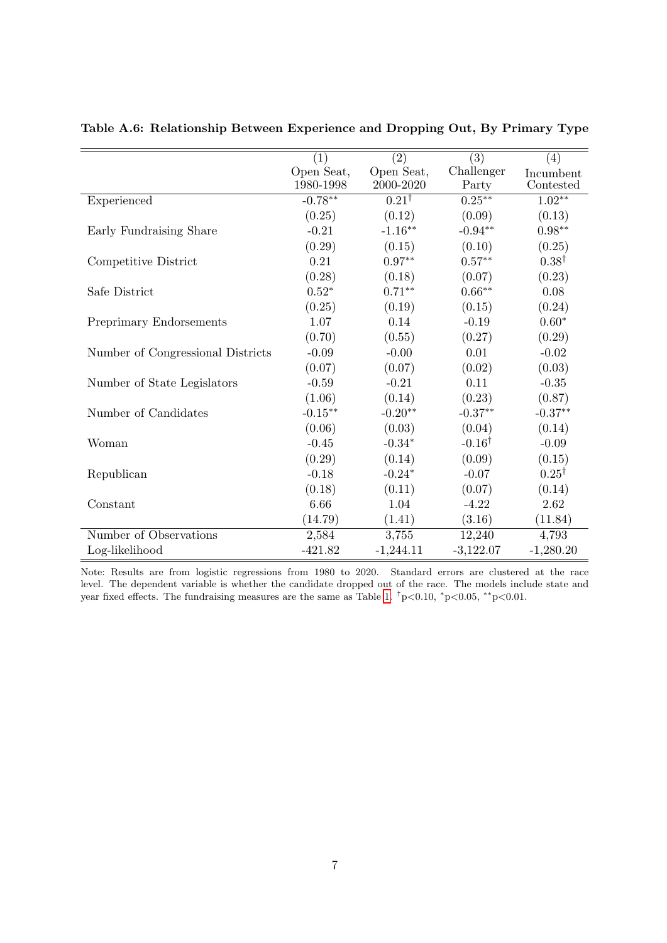|                                   | (1)        | (2)                         | (3)               | (4)              |
|-----------------------------------|------------|-----------------------------|-------------------|------------------|
|                                   | Open Seat, | Open Seat,                  | Challenger        | Incumbent        |
|                                   | 1980-1998  | 2000-2020                   | Party             | Contested        |
| Experienced                       | $-0.78***$ | $\overline{0.21}^{\dagger}$ | $0.25***$         | $1.02***$        |
|                                   | (0.25)     | (0.12)                      | (0.09)            | (0.13)           |
| Early Fundraising Share           | $-0.21$    | $-1.16***$                  | $-0.94**$         | $0.98**$         |
|                                   | (0.29)     | (0.15)                      | (0.10)            | (0.25)           |
| Competitive District              | 0.21       | $0.97**$                    | $0.57**$          | $0.38^{\dagger}$ |
|                                   | (0.28)     | (0.18)                      | (0.07)            | (0.23)           |
| Safe District                     | $0.52*$    | $0.71**$                    | $0.66**$          | 0.08             |
|                                   | (0.25)     | (0.19)                      | (0.15)            | (0.24)           |
| Preprimary Endorsements           | 1.07       | 0.14                        | $-0.19$           | $0.60*$          |
|                                   | (0.70)     | (0.55)                      | (0.27)            | (0.29)           |
| Number of Congressional Districts | $-0.09$    | $-0.00$                     | 0.01              | $-0.02$          |
|                                   | (0.07)     | (0.07)                      | (0.02)            | (0.03)           |
| Number of State Legislators       | $-0.59$    | $-0.21$                     | 0.11              | $-0.35$          |
|                                   | (1.06)     | (0.14)                      | (0.23)            | (0.87)           |
| Number of Candidates              | $-0.15***$ | $-0.20**$                   | $-0.37**$         | $-0.37**$        |
|                                   | (0.06)     | (0.03)                      | (0.04)            | (0.14)           |
| Woman                             | $-0.45$    | $-0.34*$                    | $-0.16^{\dagger}$ | $-0.09$          |
|                                   | (0.29)     | (0.14)                      | (0.09)            | (0.15)           |
| Republican                        | $-0.18$    | $-0.24*$                    | $-0.07$           | $0.25^{\dagger}$ |
|                                   | (0.18)     | (0.11)                      | (0.07)            | (0.14)           |
| Constant                          | 6.66       | 1.04                        | $-4.22$           | 2.62             |
|                                   | (14.79)    | (1.41)                      | (3.16)            | (11.84)          |
| Number of Observations            | 2,584      | 3,755                       | 12,240            | 4,793            |
| Log-likelihood                    | $-421.82$  | $-1,244.11$                 | $-3,122.07$       | $-1,280.20$      |

<span id="page-38-0"></span>Table A.6: Relationship Between Experience and Dropping Out, By Primary Type

Note: Results are from logistic regressions from 1980 to 2020. Standard errors are clustered at the race level. The dependent variable is whether the candidate dropped out of the race. The models include state and year fixed effects. The fundraising measures are the same as Table [1.](#page-14-0)  $\frac{1}{7}p<0.10$ ,  $\frac{1}{p}<0.05$ ,  $\frac{1}{7}p<0.01$ .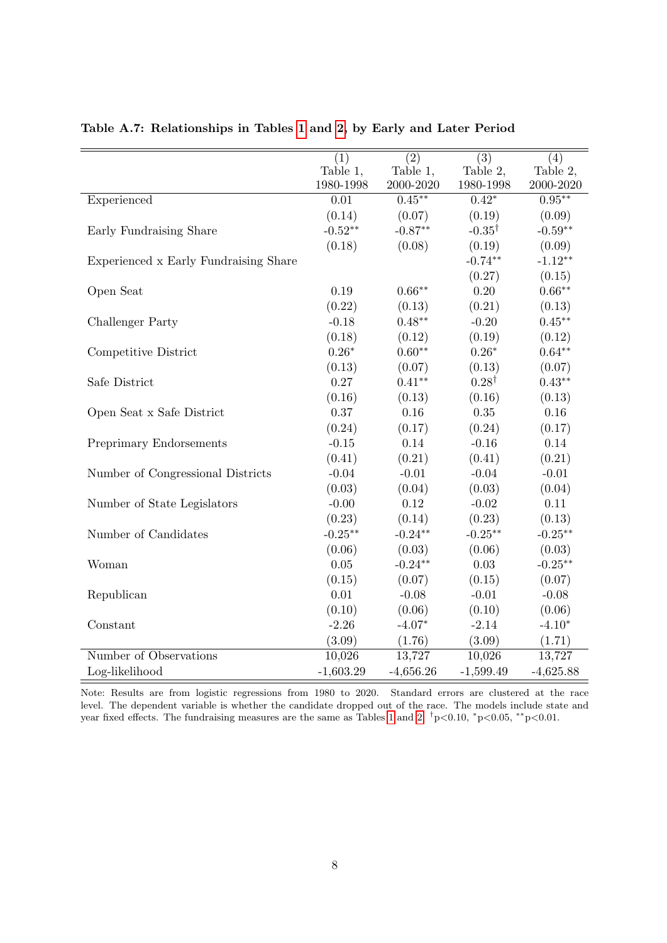|                                       | (1)         | $\overline{(2)}$ | $\overline{(3)}$  | (4)         |
|---------------------------------------|-------------|------------------|-------------------|-------------|
|                                       | Table 1,    | Table 1,         | Table 2,          | Table 2,    |
|                                       | 1980-1998   | 2000-2020        | 1980-1998         | 2000-2020   |
| Experienced                           | $0.01\,$    | $0.45**$         | $0.42*$           | $0.95***$   |
|                                       | (0.14)      | (0.07)           | (0.19)            | (0.09)      |
| Early Fundraising Share               | $-0.52**$   | $-0.87**$        | $-0.35^{\dagger}$ | $-0.59**$   |
|                                       | (0.18)      | (0.08)           | (0.19)            | (0.09)      |
| Experienced x Early Fundraising Share |             |                  | $-0.74**$         | $-1.12**$   |
|                                       |             |                  | (0.27)            | (0.15)      |
| Open Seat                             | 0.19        | $0.66**$         | 0.20              | $0.66**$    |
|                                       | (0.22)      | (0.13)           | (0.21)            | (0.13)      |
| <b>Challenger Party</b>               | $-0.18$     | $0.48***$        | $-0.20$           | $0.45***$   |
|                                       | (0.18)      | (0.12)           | (0.19)            | (0.12)      |
| Competitive District                  | $0.26*$     | $0.60**$         | $0.26*$           | $0.64**$    |
|                                       | (0.13)      | (0.07)           | (0.13)            | (0.07)      |
| Safe District                         | 0.27        | $0.41**$         | $0.28^{\dagger}$  | $0.43**$    |
|                                       | (0.16)      | (0.13)           | (0.16)            | (0.13)      |
| Open Seat x Safe District             | 0.37        | 0.16             | $0.35\,$          | 0.16        |
|                                       | (0.24)      | (0.17)           | (0.24)            | (0.17)      |
| Preprimary Endorsements               | $-0.15$     | 0.14             | $-0.16$           | 0.14        |
|                                       | (0.41)      | (0.21)           | (0.41)            | (0.21)      |
| Number of Congressional Districts     | $-0.04$     | $-0.01$          | $-0.04$           | $-0.01$     |
|                                       | (0.03)      | (0.04)           | (0.03)            | (0.04)      |
| Number of State Legislators           | $-0.00$     | 0.12             | $-0.02$           | 0.11        |
|                                       | (0.23)      | (0.14)           | (0.23)            | (0.13)      |
| Number of Candidates                  | $-0.25***$  | $-0.24**$        | $-0.25***$        | $-0.25***$  |
|                                       | (0.06)      | (0.03)           | (0.06)            | (0.03)      |
| Woman                                 | 0.05        | $-0.24**$        | 0.03              | $-0.25**$   |
|                                       | (0.15)      | (0.07)           | (0.15)            | (0.07)      |
| Republican                            | 0.01        | $-0.08$          | $-0.01$           | $-0.08$     |
|                                       | (0.10)      | (0.06)           | (0.10)            | (0.06)      |
| Constant                              | $-2.26$     | $-4.07*$         | $-2.14$           | $-4.10*$    |
|                                       | (3.09)      | (1.76)           | (3.09)            | (1.71)      |
| Number of Observations                | 10,026      | 13,727           | 10,026            | 13,727      |
| Log-likelihood                        | $-1,603.29$ | $-4,656.26$      | $-1,599.49$       | $-4,625.88$ |

<span id="page-39-0"></span>Table A.7: Relationships in Tables [1](#page-14-0) and [2,](#page-16-0) by Early and Later Period

Note: Results are from logistic regressions from 1980 to 2020. Standard errors are clustered at the race level. The dependent variable is whether the candidate dropped out of the race. The models include state and year fixed effects. The fundraising measures are the same as Tables [1](#page-14-0) and [2.](#page-16-0)  $\frac{1}{7}p<0.10$ ,  $\frac{1}{7}p<0.05$ ,  $\frac{1}{7}p<0.01$ .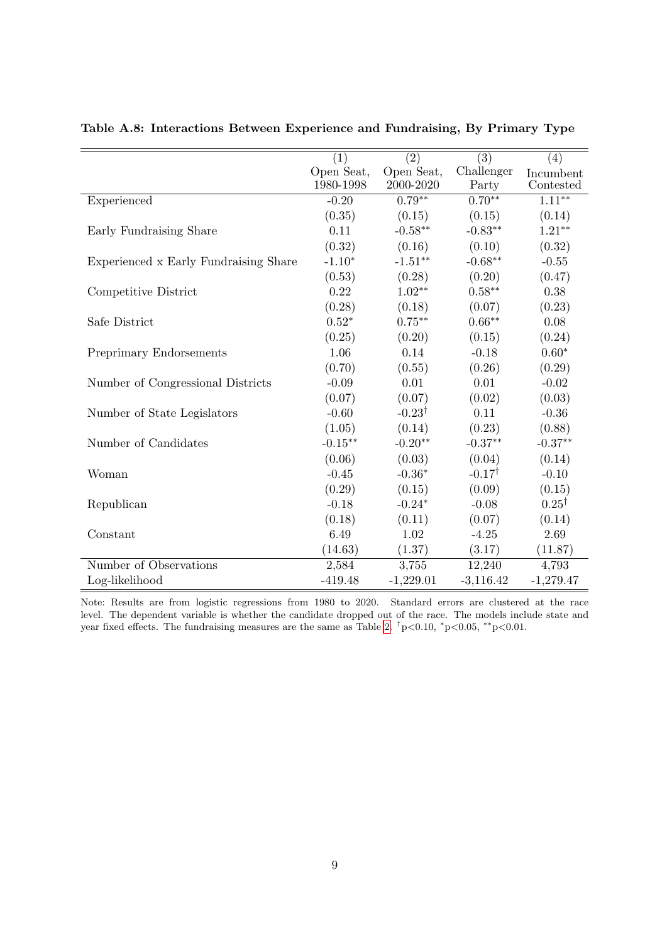|                                       |                   |                   | (3)               |                        |
|---------------------------------------|-------------------|-------------------|-------------------|------------------------|
|                                       | (1)<br>Open Seat, | (2)<br>Open Seat, | Challenger        | (4)                    |
|                                       | 1980-1998         | 2000-2020         | Party             | Incumbent<br>Contested |
| Experienced                           | $-0.20$           | $0.79**$          | $0.70***$         | $1.11***$              |
|                                       | (0.35)            | (0.15)            | (0.15)            | (0.14)                 |
|                                       | 0.11              | $-0.58**$         | $-0.83**$         | $1.21***$              |
| Early Fundraising Share               |                   |                   |                   |                        |
|                                       | (0.32)            | (0.16)            | (0.10)            | (0.32)                 |
| Experienced x Early Fundraising Share | $-1.10*$          | $-1.51***$        | $-0.68**$         | $-0.55$                |
|                                       | (0.53)            | (0.28)            | (0.20)            | (0.47)                 |
| Competitive District                  | 0.22              | $1.02^{\ast\ast}$ | $0.58***$         | 0.38                   |
|                                       | (0.28)            | (0.18)            | (0.07)            | (0.23)                 |
| Safe District                         | $0.52*$           | $0.75^{\ast\ast}$ | $0.66***$         | 0.08                   |
|                                       | (0.25)            | (0.20)            | (0.15)            | (0.24)                 |
| Preprimary Endorsements               | 1.06              | 0.14              | $-0.18$           | $0.60*$                |
|                                       | (0.70)            | (0.55)            | (0.26)            | (0.29)                 |
| Number of Congressional Districts     | $-0.09$           | 0.01              | 0.01              | $-0.02$                |
|                                       | (0.07)            | (0.07)            | (0.02)            | (0.03)                 |
| Number of State Legislators           | $-0.60$           | $-0.23^{\dagger}$ | 0.11              | $-0.36$                |
|                                       | (1.05)            | (0.14)            | (0.23)            | (0.88)                 |
| Number of Candidates                  | $-0.15***$        | $-0.20**$         | $-0.37**$         | $-0.37**$              |
|                                       | (0.06)            | (0.03)            | (0.04)            | (0.14)                 |
| Woman                                 | $-0.45$           | $-0.36*$          | $-0.17^{\dagger}$ | $-0.10$                |
|                                       | (0.29)            | (0.15)            | (0.09)            | (0.15)                 |
| Republican                            | $-0.18$           | $-0.24*$          | $-0.08$           | $0.25^{\dagger}$       |
|                                       | (0.18)            | (0.11)            | (0.07)            | (0.14)                 |
| Constant                              | 6.49              | 1.02              | $-4.25$           | 2.69                   |
|                                       | (14.63)           | (1.37)            | (3.17)            | (11.87)                |
| Number of Observations                | 2,584             | 3,755             | 12,240            | 4,793                  |
| Log-likelihood                        | $-419.48$         | $-1,229.01$       | $-3,116.42$       | $-1,279.47$            |
|                                       |                   |                   |                   |                        |

<span id="page-40-0"></span>Table A.8: Interactions Between Experience and Fundraising, By Primary Type

Note: Results are from logistic regressions from 1980 to 2020. Standard errors are clustered at the race level. The dependent variable is whether the candidate dropped out of the race. The models include state and year fixed effects. The fundraising measures are the same as Table [2.](#page-16-0)  $\frac{\dagger}{7}$  p<0.05, \*\*p<0.01.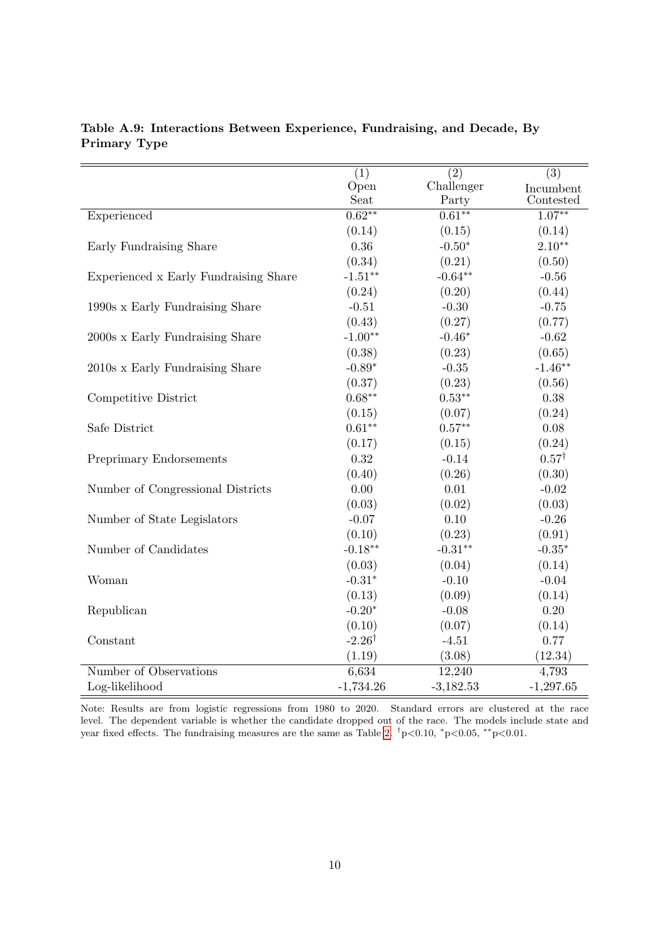|                                       | (1)               | (2)         | (3)              |
|---------------------------------------|-------------------|-------------|------------------|
|                                       | Open              | Challenger  | Incumbent        |
|                                       | Seat              | Party       | Contested        |
| Experienced                           | $0.62***$         | $0.61***$   | $1.07***$        |
|                                       | (0.14)            | (0.15)      | (0.14)           |
| Early Fundraising Share               | 0.36              | $-0.50*$    | $2.10**$         |
|                                       | (0.34)            | (0.21)      | (0.50)           |
| Experienced x Early Fundraising Share | $-1.51**$         | $-0.64**$   | $-0.56$          |
|                                       | (0.24)            | (0.20)      | (0.44)           |
| 1990s x Early Fundraising Share       | $-0.51$           | $-0.30$     | $-0.75$          |
|                                       | (0.43)            | (0.27)      | (0.77)           |
| 2000s x Early Fundraising Share       | $-1.00**$         | $-0.46*$    | $-0.62$          |
|                                       | (0.38)            | (0.23)      | (0.65)           |
| 2010s x Early Fundraising Share       | $-0.89*$          | $-0.35$     | $-1.46**$        |
|                                       | (0.37)            | (0.23)      | (0.56)           |
| Competitive District                  | $0.68***$         | $0.53***$   | 0.38             |
|                                       | (0.15)            | (0.07)      | (0.24)           |
| Safe District                         | $0.61**$          | $0.57**$    | 0.08             |
|                                       | (0.17)            | (0.15)      | (0.24)           |
| Preprimary Endorsements               | 0.32              | $-0.14$     | $0.57^{\dagger}$ |
|                                       | (0.40)            | (0.26)      | (0.30)           |
| Number of Congressional Districts     | 0.00              | 0.01        | $-0.02$          |
|                                       | (0.03)            | (0.02)      | (0.03)           |
| Number of State Legislators           | $-0.07$           | 0.10        | $-0.26$          |
|                                       | (0.10)            | (0.23)      | (0.91)           |
| Number of Candidates                  | $-0.18**$         | $-0.31**$   | $-0.35*$         |
|                                       | (0.03)            | (0.04)      | (0.14)           |
| Woman                                 | $-0.31*$          | $-0.10$     | $-0.04$          |
|                                       | (0.13)            | (0.09)      | (0.14)           |
| Republican                            | $-0.20*$          | $-0.08$     | 0.20             |
|                                       | (0.10)            | (0.07)      | (0.14)           |
| Constant                              | $-2.26^{\dagger}$ | $-4.51$     | 0.77             |
|                                       | (1.19)            | (3.08)      | (12.34)          |
| Number of Observations                | 6,634             | 12,240      | 4,793            |
| Log-likelihood                        | $-1,734.26$       | $-3,182.53$ | $-1,297.65$      |

<span id="page-41-0"></span>Table A.9: Interactions Between Experience, Fundraising, and Decade, By Primary Type

Note: Results are from logistic regressions from 1980 to 2020. Standard errors are clustered at the race level. The dependent variable is whether the candidate dropped out of the race. The models include state and year fixed effects. The fundraising measures are the same as Table [2.](#page-16-0)  $\frac{\dagger}{7}$  p<0.05, \*\*p<0.01.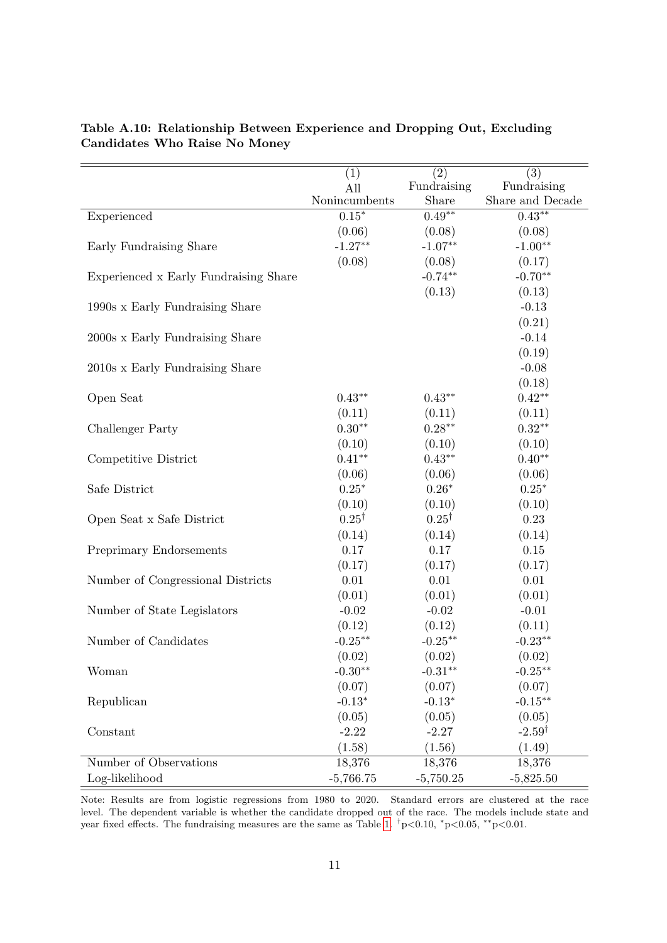|                                       | (1)              | (2)              | (3)               |
|---------------------------------------|------------------|------------------|-------------------|
|                                       | All              | Fundraising      | Fundraising       |
|                                       | Nonincumbents    | Share            | Share and Decade  |
| Experienced                           | $0.15*$          | $0.49**$         | $0.43**$          |
|                                       | (0.06)           | (0.08)           | (0.08)            |
| Early Fundraising Share               | $-1.27**$        | $-1.07**$        | $-1.00**$         |
|                                       | (0.08)           | (0.08)           | (0.17)            |
| Experienced x Early Fundraising Share |                  | $-0.74**$        | $-0.70**$         |
|                                       |                  | (0.13)           | (0.13)            |
| 1990s x Early Fundraising Share       |                  |                  | $-0.13$           |
|                                       |                  |                  | (0.21)            |
| 2000s x Early Fundraising Share       |                  |                  | $-0.14$           |
|                                       |                  |                  | (0.19)            |
| 2010s x Early Fundraising Share       |                  |                  | $-0.08$           |
|                                       |                  |                  | (0.18)            |
| Open Seat                             | $0.43**$         | $0.43**$         | $0.42**$          |
|                                       | (0.11)           | (0.11)           | (0.11)            |
| Challenger Party                      | $0.30**$         | $0.28**$         | $0.32**$          |
|                                       | (0.10)           | (0.10)           | (0.10)            |
| Competitive District                  | $0.41**$         | $0.43**$         | $0.40**$          |
|                                       | (0.06)           | (0.06)           | (0.06)            |
| Safe District                         | $0.25^{\ast}$    | $0.26*$          | $0.25*$           |
|                                       | (0.10)           | (0.10)           | (0.10)            |
| Open Seat x Safe District             | $0.25^{\dagger}$ | $0.25^{\dagger}$ | 0.23              |
|                                       | (0.14)           | (0.14)           | (0.14)            |
| <b>Preprimary Endorsements</b>        | $0.17\,$         | 0.17             | $0.15\,$          |
|                                       | (0.17)           | (0.17)           | (0.17)            |
| Number of Congressional Districts     | 0.01             | 0.01             | 0.01              |
|                                       | (0.01)           | (0.01)           | (0.01)            |
| Number of State Legislators           | $-0.02$          | $-0.02$          | $-0.01$           |
|                                       | (0.12)           | (0.12)           | (0.11)            |
| Number of Candidates                  | $-0.25**$        | $-0.25**$        | $-0.23**$         |
|                                       | (0.02)           | (0.02)           | (0.02)            |
| Woman                                 | $-0.30**$        | $-0.31**$        | $-0.25***$        |
|                                       | (0.07)           | (0.07)           | (0.07)            |
| Republican                            | $-0.13*$         | $-0.13*$         | $-0.15***$        |
|                                       | (0.05)           | (0.05)           | (0.05)            |
| Constant                              | $-2.22$          | $-2.27$          | $-2.59^{\dagger}$ |
|                                       | (1.58)           | (1.56)           | (1.49)            |
| Number of Observations                | 18,376           | 18,376           | 18,376            |
| Log-likelihood                        | $-5,766.75$      | $-5,750.25$      | $-5,825.50$       |

<span id="page-42-0"></span>Table A.10: Relationship Between Experience and Dropping Out, Excluding Candidates Who Raise No Money

Note: Results are from logistic regressions from 1980 to 2020. Standard errors are clustered at the race level. The dependent variable is whether the candidate dropped out of the race. The models include state and year fixed effects. The fundraising measures are the same as Table [1.](#page-14-0)  $\frac{1}{7}p<0.10$ ,  $\frac{k}{p}<0.05$ ,  $\frac{k}{p}<0.01$ .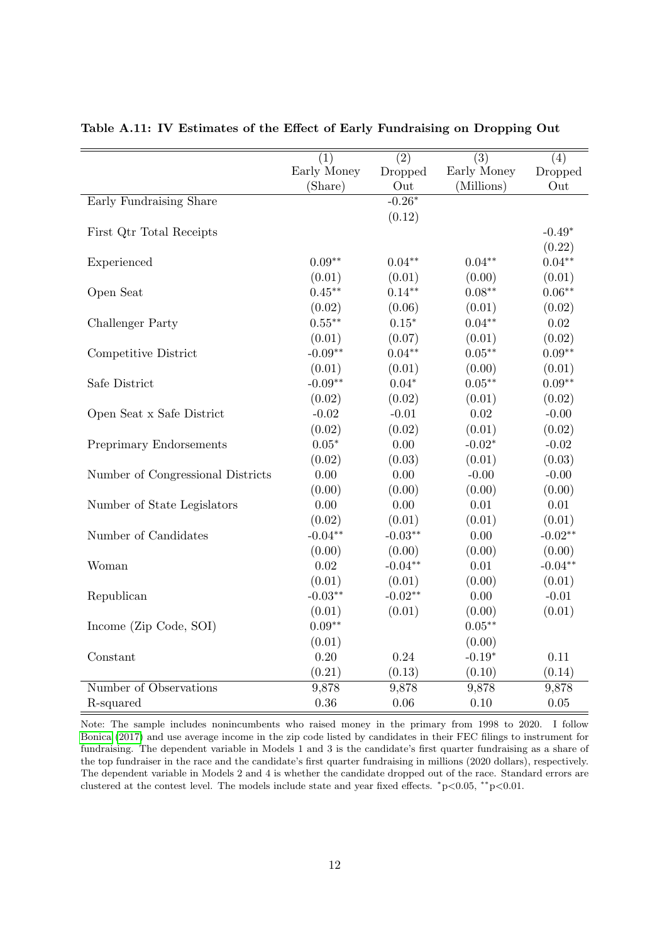|                                   | $\overline{(1)}$<br>Early Money | $\overline{(2)}$ | $\overline{(3)}$<br>Early Money | (4)            |
|-----------------------------------|---------------------------------|------------------|---------------------------------|----------------|
|                                   | (Share)                         | Dropped<br>Out   | (Millions)                      | Dropped<br>Out |
| Early Fundraising Share           |                                 | $-0.26*$         |                                 |                |
|                                   |                                 | (0.12)           |                                 |                |
| First Qtr Total Receipts          |                                 |                  |                                 | $-0.49*$       |
|                                   |                                 |                  |                                 | (0.22)         |
| Experienced                       | $0.09**$                        | $0.04**$         | $0.04**$                        | $0.04**$       |
|                                   | (0.01)                          | (0.01)           | (0.00)                          | (0.01)         |
| Open Seat                         | $0.45**$                        | $0.14**$         | $0.08**$                        | $0.06**$       |
|                                   | (0.02)                          | (0.06)           | (0.01)                          | (0.02)         |
| Challenger Party                  | $0.55***$                       | $0.15*$          | $0.04**$                        | $0.02\,$       |
|                                   | (0.01)                          | (0.07)           | (0.01)                          | (0.02)         |
| Competitive District              | $-0.09**$                       | $0.04**$         | $0.05**$                        | $0.09**$       |
|                                   | (0.01)                          | (0.01)           | (0.00)                          | (0.01)         |
| Safe District                     | $-0.09**$                       | $0.04*$          | $0.05**$                        | $0.09**$       |
|                                   | (0.02)                          | (0.02)           | (0.01)                          | (0.02)         |
| Open Seat x Safe District         | $-0.02$                         | $-0.01$          | 0.02                            | $-0.00$        |
|                                   | (0.02)                          | (0.02)           | (0.01)                          | (0.02)         |
|                                   | $0.05*$                         | 0.00             | $-0.02*$                        | $-0.02$        |
| Preprimary Endorsements           |                                 |                  |                                 |                |
|                                   | (0.02)                          | (0.03)           | (0.01)                          | (0.03)         |
| Number of Congressional Districts | 0.00                            | 0.00             | $-0.00$                         | $-0.00$        |
|                                   | (0.00)                          | (0.00)           | (0.00)                          | (0.00)         |
| Number of State Legislators       | 0.00                            | 0.00             | 0.01                            | 0.01           |
|                                   | (0.02)                          | (0.01)           | (0.01)                          | (0.01)         |
| Number of Candidates              | $-0.04**$                       | $-0.03**$        | 0.00                            | $-0.02**$      |
|                                   | (0.00)                          | (0.00)           | (0.00)                          | (0.00)         |
| Woman                             | 0.02                            | $-0.04**$        | 0.01                            | $-0.04**$      |
|                                   | (0.01)                          | (0.01)           | (0.00)                          | (0.01)         |
| Republican                        | $-0.03**$                       | $-0.02**$        | 0.00                            | $-0.01$        |
|                                   | (0.01)                          | (0.01)           | (0.00)                          | (0.01)         |
| Income (Zip Code, SOI)            | $0.09**$                        |                  | $0.05***$                       |                |
|                                   | (0.01)                          |                  | (0.00)                          |                |
| Constant                          | 0.20                            | 0.24             | $-0.19*$                        | 0.11           |
|                                   | (0.21)                          | (0.13)           | (0.10)                          | (0.14)         |
| Number of Observations            | 9,878                           | 9,878            | 9,878                           | 9,878          |
| R-squared                         | 0.36                            | 0.06             | 0.10                            | 0.05           |

<span id="page-43-0"></span>Table A.11: IV Estimates of the Effect of Early Fundraising on Dropping Out

Note: The sample includes nonincumbents who raised money in the primary from 1998 to 2020. I follow [Bonica](#page-28-9) [\(2017\)](#page-28-9) and use average income in the zip code listed by candidates in their FEC filings to instrument for fundraising. The dependent variable in Models 1 and 3 is the candidate's first quarter fundraising as a share of the top fundraiser in the race and the candidate's first quarter fundraising in millions (2020 dollars), respectively. The dependent variable in Models 2 and 4 is whether the candidate dropped out of the race. Standard errors are clustered at the contest level. The models include state and year fixed effects. <sup>∗</sup>p<0.05, ∗∗p<0.01.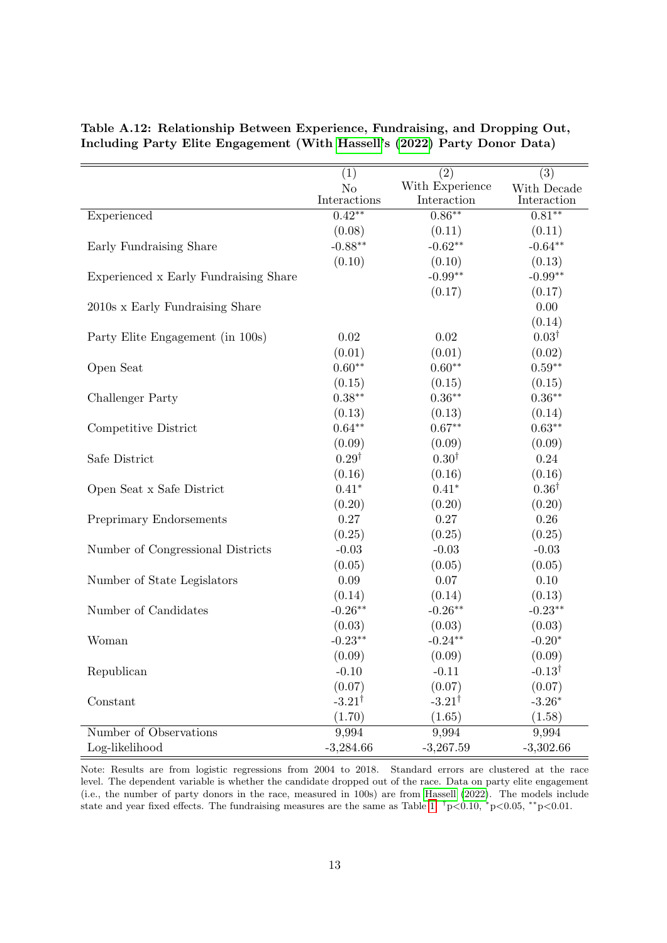|                                       | (1)               | (2)               | (3)               |
|---------------------------------------|-------------------|-------------------|-------------------|
|                                       | $\rm No$          | With Experience   | With Decade       |
|                                       | Interactions      | Interaction       | Interaction       |
| Experienced                           | $0.42**$          | $0.86***$         | $0.81***$         |
|                                       | (0.08)            | (0.11)            | (0.11)            |
| Early Fundraising Share               | $-0.88**$         | $-0.62**$         | $-0.64**$         |
|                                       | (0.10)            | (0.10)            | (0.13)            |
| Experienced x Early Fundraising Share |                   | $-0.99**$         | $-0.99**$         |
|                                       |                   | (0.17)            | (0.17)            |
| 2010s x Early Fundraising Share       |                   |                   | 0.00              |
|                                       |                   |                   | (0.14)            |
| Party Elite Engagement (in 100s)      | $0.02\,$          | 0.02              | $0.03^{\dagger}$  |
|                                       | (0.01)            | (0.01)            | (0.02)            |
| Open Seat                             | $0.60**$          | $0.60**$          | $0.59**$          |
|                                       | (0.15)            | (0.15)            | (0.15)            |
| Challenger Party                      | $0.38***$         | $0.36**$          | $0.36**$          |
|                                       | (0.13)            | (0.13)            | (0.14)            |
| Competitive District                  | $0.64**$          | $0.67**$          | $0.63**$          |
|                                       | (0.09)            | (0.09)            | (0.09)            |
| Safe District                         | $0.29^{\dagger}$  | $0.30^{\dagger}$  | 0.24              |
|                                       | (0.16)            | (0.16)            | (0.16)            |
| Open Seat x Safe District             | $0.41*$           | $0.41*$           | $0.36^{\dagger}$  |
|                                       | (0.20)            | (0.20)            | (0.20)            |
| Preprimary Endorsements               | 0.27              | 0.27              | 0.26              |
|                                       | (0.25)            | (0.25)            | (0.25)            |
| Number of Congressional Districts     | $-0.03$           | $-0.03$           | $-0.03$           |
|                                       | (0.05)            | (0.05)            | (0.05)            |
| Number of State Legislators           | 0.09              | 0.07              | 0.10              |
|                                       | (0.14)            | (0.14)            | (0.13)            |
| Number of Candidates                  | $-0.26**$         | $-0.26**$         | $-0.23**$         |
|                                       | (0.03)            | (0.03)            | (0.03)            |
| Woman                                 | $-0.23**$         | $-0.24**$         | $-0.20*$          |
|                                       | (0.09)            | (0.09)            | (0.09)            |
| Republican                            | $-0.10$           | $-0.11$           | $-0.13^{\dagger}$ |
|                                       | (0.07)            | (0.07)            | (0.07)            |
| Constant                              | $-3.21^{\dagger}$ | $-3.21^{\dagger}$ | $-3.26*$          |
|                                       | (1.70)            | (1.65)            | (1.58)            |
| Number of Observations                | 9,994             | 9,994             | 9,994             |
| Log-likelihood                        | $-3,284.66$       | $-3,267.59$       | $-3,302.66$       |

# <span id="page-44-0"></span>Table A.12: Relationship Between Experience, Fundraising, and Dropping Out, Including Party Elite Engagement (With [Hassell'](#page-29-13)s [\(2022\)](#page-29-13) Party Donor Data)

Note: Results are from logistic regressions from 2004 to 2018. Standard errors are clustered at the race level. The dependent variable is whether the candidate dropped out of the race. Data on party elite engagement (i.e., the number of party donors in the race, measured in 100s) are from [Hassell](#page-29-13) [\(2022\)](#page-29-13). The models include state and year fixed effects. The fundraising measures are the same as Table [1.](#page-14-0)  $\frac{\dagger}{p}$  <0.05,  $\frac{*p}{0.05}$ ,  $\frac{*p}{0.01}$ .